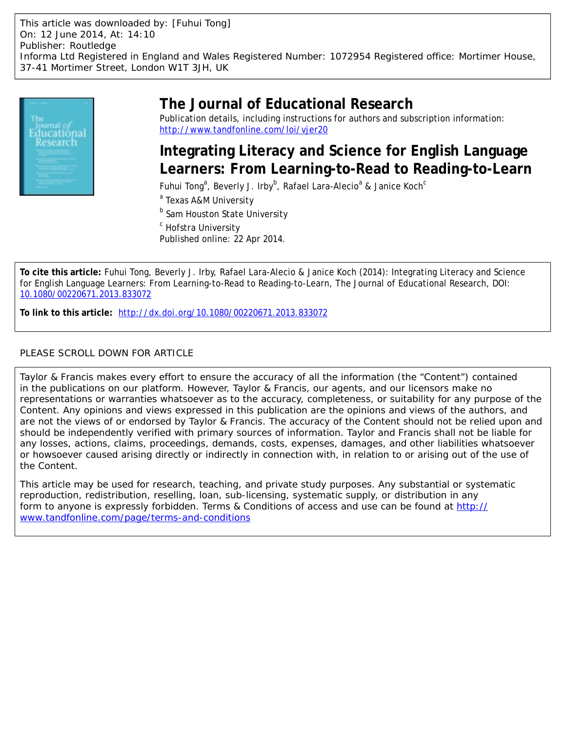

Publication details, including instructions for authors and subscription information: <http://www.tandfonline.com/loi/vjer20>

**Integrating Literacy and Science for English Language Learners: From Learning-to-Read to Reading-to-Learn**

Fuhui Tong<sup>a</sup>, Beverly J. Irby<sup>b</sup>, Rafael Lara-Alecio<sup>a</sup> & Janice Koch<sup>c</sup>

- <sup>a</sup> Texas A&M University
- <sup>b</sup> Sam Houston State University

<sup>c</sup> Hofstra University Published online: 22 Apr 2014.

**To cite this article:** Fuhui Tong, Beverly J. Irby, Rafael Lara-Alecio & Janice Koch (2014): Integrating Literacy and Science for English Language Learners: From Learning-to-Read to Reading-to-Learn, The Journal of Educational Research, DOI: [10.1080/00220671.2013.833072](http://www.tandfonline.com/action/showCitFormats?doi=10.1080/00220671.2013.833072)

**To link to this article:** <http://dx.doi.org/10.1080/00220671.2013.833072>

# PLEASE SCROLL DOWN FOR ARTICLE

Taylor & Francis makes every effort to ensure the accuracy of all the information (the "Content") contained in the publications on our platform. However, Taylor & Francis, our agents, and our licensors make no representations or warranties whatsoever as to the accuracy, completeness, or suitability for any purpose of the Content. Any opinions and views expressed in this publication are the opinions and views of the authors, and are not the views of or endorsed by Taylor & Francis. The accuracy of the Content should not be relied upon and should be independently verified with primary sources of information. Taylor and Francis shall not be liable for any losses, actions, claims, proceedings, demands, costs, expenses, damages, and other liabilities whatsoever or howsoever caused arising directly or indirectly in connection with, in relation to or arising out of the use of the Content.

This article may be used for research, teaching, and private study purposes. Any substantial or systematic reproduction, redistribution, reselling, loan, sub-licensing, systematic supply, or distribution in any form to anyone is expressly forbidden. Terms & Conditions of access and use can be found at [http://](http://www.tandfonline.com/page/terms-and-conditions) [www.tandfonline.com/page/terms-and-conditions](http://www.tandfonline.com/page/terms-and-conditions)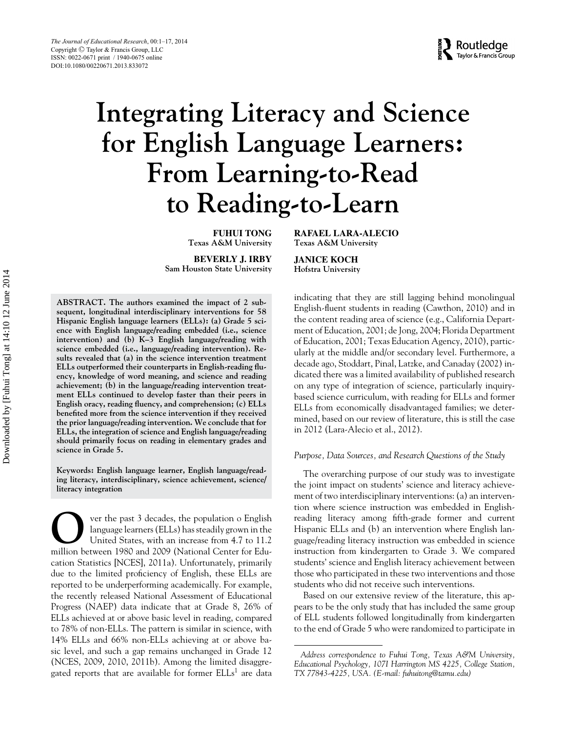# **Integrating Literacy and Science for English Language Learners: From Learning-to-Read to Reading-to-Learn**

**FUHUI TONG Texas A&M University**

**BEVERLY J. IRBY Sam Houston State University**

**ABSTRACT. The authors examined the impact of 2 subsequent, longitudinal interdisciplinary interventions for 58 Hispanic English language learners (ELLs): (a) Grade 5 science with English language/reading embedded (i.e., science intervention) and (b) K–3 English language/reading with science embedded (i.e., language/reading intervention). Results revealed that (a) in the science intervention treatment ELLs outperformed their counterparts in English-reading fluency, knowledge of word meaning, and science and reading achievement; (b) in the language/reading intervention treatment ELLs continued to develop faster than their peers in English oracy, reading fluency, and comprehension; (c) ELLs benefited more from the science intervention if they received the prior language/reading intervention. We conclude that for ELLs, the integration of science and English language/reading should primarily focus on reading in elementary grades and science in Grade 5.**

**Keywords: English language learner, English language/reading literacy, interdisciplinary, science achievement, science/ literacy integration**

ver the past 3 decades, the population o English language learners (ELLs) has steadily grown in the United States, with an increase from 4.7 to 11.2 million between 1980 and 2009 (National Center for Education Statistics [NCES], 2011a). Unfortunately, primarily due to the limited proficiency of English, these ELLs are reported to be underperforming academically. For example, the recently released National Assessment of Educational Progress (NAEP) data indicate that at Grade 8, 26% of ELLs achieved at or above basic level in reading, compared to 78% of non-ELLs. The pattern is similar in science, with 14% ELLs and 66% non-ELLs achieving at or above basic level, and such a gap remains unchanged in Grade 12 (NCES, 2009, 2010, 2011b). Among the limited disaggregated reports that are available for former  $ELLs<sup>1</sup>$  are data **RAFAEL LARA-ALECIO Texas A&M University**

#### **JANICE KOCH Hofstra University**

indicating that they are still lagging behind monolingual English-fluent students in reading (Cawthon, 2010) and in the content reading area of science (e.g., California Department of Education, 2001; de Jong, 2004; Florida Department of Education, 2001; Texas Education Agency, 2010), particularly at the middle and/or secondary level. Furthermore, a decade ago, Stoddart, Pinal, Latzke, and Canaday (2002) indicated there was a limited availability of published research on any type of integration of science, particularly inquirybased science curriculum, with reading for ELLs and former ELLs from economically disadvantaged families; we determined, based on our review of literature, this is still the case in 2012 (Lara-Alecio et al., 2012).

# *Purpose, Data Sources, and Research Questions of the Study*

The overarching purpose of our study was to investigate the joint impact on students' science and literacy achievement of two interdisciplinary interventions: (a) an intervention where science instruction was embedded in Englishreading literacy among fifth-grade former and current Hispanic ELLs and (b) an intervention where English language/reading literacy instruction was embedded in science instruction from kindergarten to Grade 3. We compared students' science and English literacy achievement between those who participated in these two interventions and those students who did not receive such interventions.

Based on our extensive review of the literature, this appears to be the only study that has included the same group of ELL students followed longitudinally from kindergarten to the end of Grade 5 who were randomized to participate in

*Address correspondence to Fuhui Tong, Texas A&M University, Educational Psychology, 107I Harrington MS 4225, College Station, TX 77843-4225, USA. (E-mail: fuhuitong@tamu.edu)*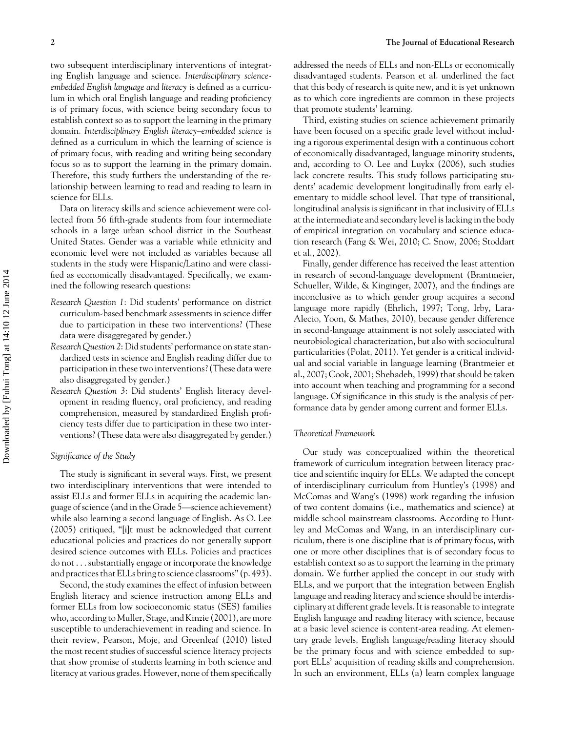two subsequent interdisciplinary interventions of integrating English language and science. *Interdisciplinary scienceembedded English language and literacy* is defined as a curriculum in which oral English language and reading proficiency is of primary focus, with science being secondary focus to establish context so as to support the learning in the primary domain. *Interdisciplinary English literacy–embedded science* is defined as a curriculum in which the learning of science is of primary focus, with reading and writing being secondary focus so as to support the learning in the primary domain. Therefore, this study furthers the understanding of the relationship between learning to read and reading to learn in science for ELLs.

Data on literacy skills and science achievement were collected from 56 fifth-grade students from four intermediate schools in a large urban school district in the Southeast United States. Gender was a variable while ethnicity and economic level were not included as variables because all students in the study were Hispanic/Latino and were classified as economically disadvantaged. Specifically, we examined the following research questions:

- *Research Question 1*: Did students' performance on district curriculum-based benchmark assessments in science differ due to participation in these two interventions? (These data were disaggregated by gender.)
- *Research Question 2*: Did students' performance on state standardized tests in science and English reading differ due to participation in these two interventions? (These data were also disaggregated by gender.)
- *Research Question 3*: Did students' English literacy development in reading fluency, oral proficiency, and reading comprehension, measured by standardized English proficiency tests differ due to participation in these two interventions? (These data were also disaggregated by gender.)

#### *Significance of the Study*

The study is significant in several ways. First, we present two interdisciplinary interventions that were intended to assist ELLs and former ELLs in acquiring the academic language of science (and in the Grade 5—science achievement) while also learning a second language of English. As O. Lee (2005) critiqued, "[i]t must be acknowledged that current educational policies and practices do not generally support desired science outcomes with ELLs. Policies and practices do not ... substantially engage or incorporate the knowledge and practices that ELLs bring to science classrooms" (p. 493).

Second, the study examines the effect of infusion between English literacy and science instruction among ELLs and former ELLs from low socioeconomic status (SES) families who, according to Muller, Stage, and Kinzie (2001), are more susceptible to underachievement in reading and science. In their review, Pearson, Moje, and Greenleaf (2010) listed the most recent studies of successful science literacy projects that show promise of students learning in both science and literacy at various grades. However, none of them specifically addressed the needs of ELLs and non-ELLs or economically disadvantaged students. Pearson et al. underlined the fact that this body of research is quite new, and it is yet unknown as to which core ingredients are common in these projects that promote students' learning.

Third, existing studies on science achievement primarily have been focused on a specific grade level without including a rigorous experimental design with a continuous cohort of economically disadvantaged, language minority students, and, according to O. Lee and Luykx (2006), such studies lack concrete results. This study follows participating students' academic development longitudinally from early elementary to middle school level. That type of transitional, longitudinal analysis is significant in that inclusivity of ELLs at the intermediate and secondary level is lacking in the body of empirical integration on vocabulary and science education research (Fang & Wei, 2010; C. Snow, 2006; Stoddart et al., 2002).

Finally, gender difference has received the least attention in research of second-language development (Brantmeier, Schueller, Wilde, & Kinginger, 2007), and the findings are inconclusive as to which gender group acquires a second language more rapidly (Ehrlich, 1997; Tong, Irby, Lara-Alecio, Yoon, & Mathes, 2010), because gender difference in second-language attainment is not solely associated with neurobiological characterization, but also with sociocultural particularities (Polat, 2011). Yet gender is a critical individual and social variable in language learning (Brantmeier et al., 2007; Cook, 2001; Shehadeh, 1999) that should be taken into account when teaching and programming for a second language. Of significance in this study is the analysis of performance data by gender among current and former ELLs.

# *Theoretical Framework*

Our study was conceptualized within the theoretical framework of curriculum integration between literacy practice and scientific inquiry for ELLs. We adapted the concept of interdisciplinary curriculum from Huntley's (1998) and McComas and Wang's (1998) work regarding the infusion of two content domains (i.e., mathematics and science) at middle school mainstream classrooms. According to Huntley and McComas and Wang, in an interdisciplinary curriculum, there is one discipline that is of primary focus, with one or more other disciplines that is of secondary focus to establish context so as to support the learning in the primary domain. We further applied the concept in our study with ELLs, and we purport that the integration between English language and reading literacy and science should be interdisciplinary at different grade levels. It is reasonable to integrate English language and reading literacy with science, because at a basic level science is content-area reading. At elementary grade levels, English language/reading literacy should be the primary focus and with science embedded to support ELLs' acquisition of reading skills and comprehension. In such an environment, ELLs (a) learn complex language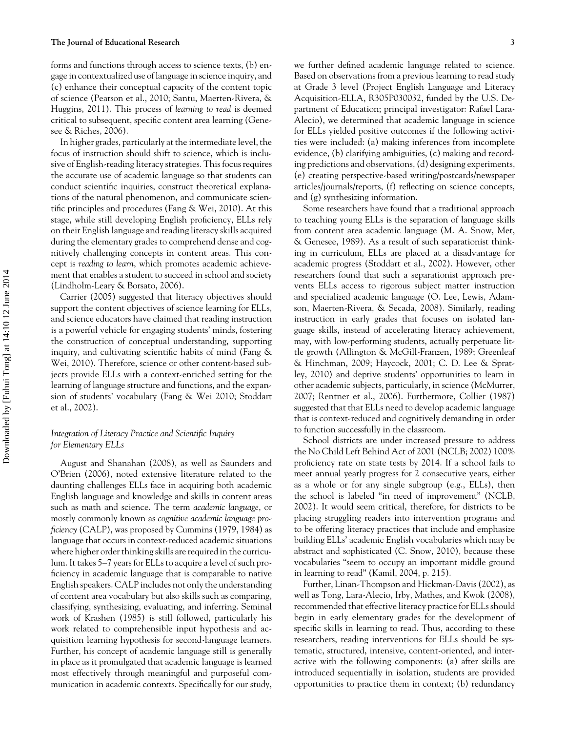forms and functions through access to science texts, (b) engage in contextualized use of language in science inquiry, and (c) enhance their conceptual capacity of the content topic of science (Pearson et al., 2010; Santu, Maerten-Rivera, & Huggins, 2011). This process of *learning to read* is deemed critical to subsequent, specific content area learning (Genesee & Riches, 2006).

In higher grades, particularly at the intermediate level, the focus of instruction should shift to science, which is inclusive of English-reading literacy strategies. This focus requires the accurate use of academic language so that students can conduct scientific inquiries, construct theoretical explanations of the natural phenomenon, and communicate scientific principles and procedures (Fang & Wei, 2010). At this stage, while still developing English proficiency, ELLs rely on their English language and reading literacy skills acquired during the elementary grades to comprehend dense and cognitively challenging concepts in content areas. This concept is *reading to learn*, which promotes academic achievement that enables a student to succeed in school and society (Lindholm-Leary & Borsato, 2006).

Carrier (2005) suggested that literacy objectives should support the content objectives of science learning for ELLs, and science educators have claimed that reading instruction is a powerful vehicle for engaging students' minds, fostering the construction of conceptual understanding, supporting inquiry, and cultivating scientific habits of mind (Fang & Wei, 2010). Therefore, science or other content-based subjects provide ELLs with a context-enriched setting for the learning of language structure and functions, and the expansion of students' vocabulary (Fang & Wei 2010; Stoddart et al., 2002).

# *Integration of Literacy Practice and Scientific Inquiry for Elementary ELLs*

August and Shanahan (2008), as well as Saunders and O'Brien (2006), noted extensive literature related to the daunting challenges ELLs face in acquiring both academic English language and knowledge and skills in content areas such as math and science. The term *academic language*, or mostly commonly known as *cognitive academic language proficiency* (CALP), was proposed by Cummins (1979, 1984) as language that occurs in context-reduced academic situations where higher order thinking skills are required in the curriculum. It takes 5–7 years for ELLs to acquire a level of such proficiency in academic language that is comparable to native English speakers. CALP includes not only the understanding of content area vocabulary but also skills such as comparing, classifying, synthesizing, evaluating, and inferring. Seminal work of Krashen (1985) is still followed, particularly his work related to comprehensible input hypothesis and acquisition learning hypothesis for second-language learners. Further, his concept of academic language still is generally in place as it promulgated that academic language is learned most effectively through meaningful and purposeful communication in academic contexts. Specifically for our study,

we further defined academic language related to science. Based on observations from a previous learning to read study at Grade 3 level (Project English Language and Literacy Acquisition-ELLA, R305P030032, funded by the U.S. Department of Education; principal investigator: Rafael Lara-Alecio), we determined that academic language in science for ELLs yielded positive outcomes if the following activities were included: (a) making inferences from incomplete evidence, (b) clarifying ambiguities, (c) making and recording predictions and observations, (d) designing experiments, (e) creating perspective-based writing/postcards/newspaper articles/journals/reports, (f) reflecting on science concepts, and (g) synthesizing information.

Some researchers have found that a traditional approach to teaching young ELLs is the separation of language skills from content area academic language (M. A. Snow, Met, & Genesee, 1989). As a result of such separationist thinking in curriculum, ELLs are placed at a disadvantage for academic progress (Stoddart et al., 2002). However, other researchers found that such a separationist approach prevents ELLs access to rigorous subject matter instruction and specialized academic language (O. Lee, Lewis, Adamson, Maerten-Rivera, & Secada, 2008). Similarly, reading instruction in early grades that focuses on isolated language skills, instead of accelerating literacy achievement, may, with low-performing students, actually perpetuate little growth (Allington & McGill-Franzen, 1989; Greenleaf & Hinchman, 2009; Haycock, 2001; C. D. Lee & Spratley, 2010) and deprive students' opportunities to learn in other academic subjects, particularly, in science (McMurrer, 2007; Rentner et al., 2006). Furthermore, Collier (1987) suggested that that ELLs need to develop academic language that is context-reduced and cognitively demanding in order to function successfully in the classroom.

School districts are under increased pressure to address the No Child Left Behind Act of 2001 (NCLB; 2002) 100% proficiency rate on state tests by 2014. If a school fails to meet annual yearly progress for 2 consecutive years, either as a whole or for any single subgroup (e.g., ELLs), then the school is labeled "in need of improvement" (NCLB, 2002). It would seem critical, therefore, for districts to be placing struggling readers into intervention programs and to be offering literacy practices that include and emphasize building ELLs' academic English vocabularies which may be abstract and sophisticated (C. Snow, 2010), because these vocabularies "seem to occupy an important middle ground in learning to read" (Kamil, 2004, p. 215).

Further, Linan-Thompson and Hickman-Davis (2002), as well as Tong, Lara-Alecio, Irby, Mathes, and Kwok (2008), recommended that effective literacy practice for ELLs should begin in early elementary grades for the development of specific skills in learning to read. Thus, according to these researchers, reading interventions for ELLs should be systematic, structured, intensive, content-oriented, and interactive with the following components: (a) after skills are introduced sequentially in isolation, students are provided opportunities to practice them in context; (b) redundancy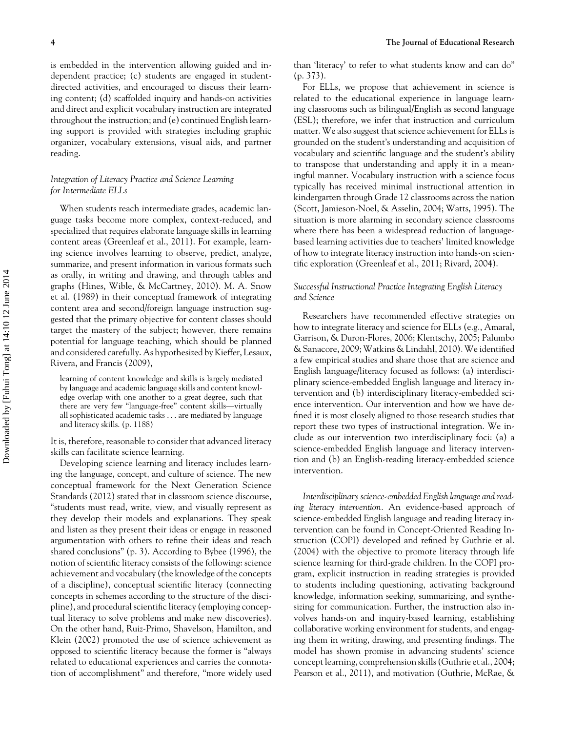is embedded in the intervention allowing guided and independent practice; (c) students are engaged in studentdirected activities, and encouraged to discuss their learning content; (d) scaffolded inquiry and hands-on activities and direct and explicit vocabulary instruction are integrated throughout the instruction; and (e) continued English learning support is provided with strategies including graphic organizer, vocabulary extensions, visual aids, and partner reading.

# *Integration of Literacy Practice and Science Learning for Intermediate ELLs*

When students reach intermediate grades, academic language tasks become more complex, context-reduced, and specialized that requires elaborate language skills in learning content areas (Greenleaf et al., 2011). For example, learning science involves learning to observe, predict, analyze, summarize, and present information in various formats such as orally, in writing and drawing, and through tables and graphs (Hines, Wible, & McCartney, 2010). M. A. Snow et al. (1989) in their conceptual framework of integrating content area and second/foreign language instruction suggested that the primary objective for content classes should target the mastery of the subject; however, there remains potential for language teaching, which should be planned and considered carefully. As hypothesized by Kieffer, Lesaux, Rivera, and Francis (2009),

learning of content knowledge and skills is largely mediated by language and academic language skills and content knowledge overlap with one another to a great degree, such that there are very few "language-free" content skills—virtually all sophisticated academic tasks ... are mediated by language and literacy skills. (p. 1188)

It is, therefore, reasonable to consider that advanced literacy skills can facilitate science learning.

Developing science learning and literacy includes learning the language, concept, and culture of science. The new conceptual framework for the Next Generation Science Standards (2012) stated that in classroom science discourse, "students must read, write, view, and visually represent as they develop their models and explanations. They speak and listen as they present their ideas or engage in reasoned argumentation with others to refine their ideas and reach shared conclusions" (p. 3). According to Bybee (1996), the notion of scientific literacy consists of the following: science achievement and vocabulary (the knowledge of the concepts of a discipline), conceptual scientific literacy (connecting concepts in schemes according to the structure of the discipline), and procedural scientific literacy (employing conceptual literacy to solve problems and make new discoveries). On the other hand, Ruiz-Primo, Shavelson, Hamilton, and Klein (2002) promoted the use of science achievement as opposed to scientific literacy because the former is "always related to educational experiences and carries the connotation of accomplishment" and therefore, "more widely used than 'literacy' to refer to what students know and can do" (p. 373).

For ELLs, we propose that achievement in science is related to the educational experience in language learning classrooms such as bilingual/English as second language (ESL); therefore, we infer that instruction and curriculum matter. We also suggest that science achievement for ELLs is grounded on the student's understanding and acquisition of vocabulary and scientific language and the student's ability to transpose that understanding and apply it in a meaningful manner. Vocabulary instruction with a science focus typically has received minimal instructional attention in kindergarten through Grade 12 classrooms across the nation (Scott, Jamieson-Noel, & Asselin, 2004; Watts, 1995). The situation is more alarming in secondary science classrooms where there has been a widespread reduction of languagebased learning activities due to teachers' limited knowledge of how to integrate literacy instruction into hands-on scientific exploration (Greenleaf et al., 2011; Rivard, 2004).

# *Successful Instructional Practice Integrating English Literacy and Science*

Researchers have recommended effective strategies on how to integrate literacy and science for ELLs (e.g., Amaral, Garrison, & Duron-Flores, 2006; Klentschy, 2005; Palumbo & Sanacore, 2009; Watkins & Lindahl, 2010). We identified a few empirical studies and share those that are science and English language/literacy focused as follows: (a) interdisciplinary science-embedded English language and literacy intervention and (b) interdisciplinary literacy-embedded science intervention. Our intervention and how we have defined it is most closely aligned to those research studies that report these two types of instructional integration. We include as our intervention two interdisciplinary foci: (a) a science-embedded English language and literacy intervention and (b) an English-reading literacy-embedded science intervention.

*Interdisciplinary science-embedded English language and reading literacy intervention.* An evidence-based approach of science-embedded English language and reading literacy intervention can be found in Concept-Oriented Reading Instruction (COPI) developed and refined by Guthrie et al. (2004) with the objective to promote literacy through life science learning for third-grade children. In the COPI program, explicit instruction in reading strategies is provided to students including questioning, activating background knowledge, information seeking, summarizing, and synthesizing for communication. Further, the instruction also involves hands-on and inquiry-based learning, establishing collaborative working environment for students, and engaging them in writing, drawing, and presenting findings. The model has shown promise in advancing students' science concept learning, comprehension skills (Guthrie et al., 2004; Pearson et al., 2011), and motivation (Guthrie, McRae, &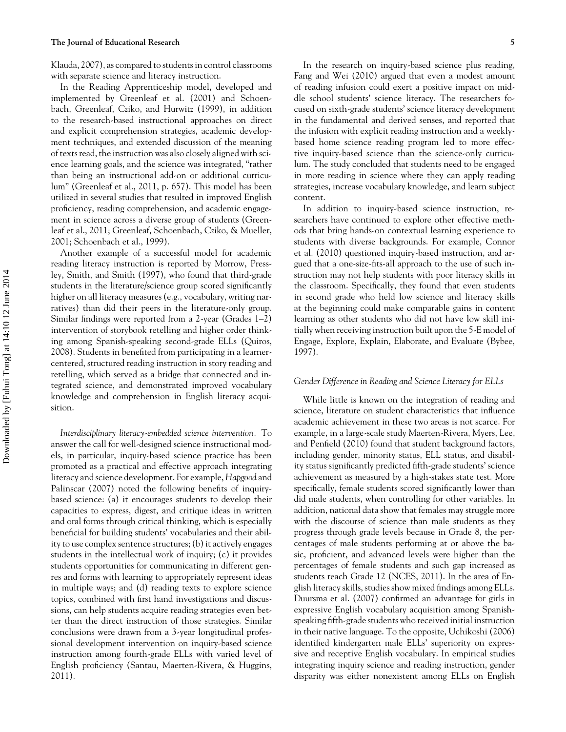Klauda, 2007), as compared to students in control classrooms with separate science and literacy instruction.

In the Reading Apprenticeship model, developed and implemented by Greenleaf et al. (2001) and Schoenbach, Greenleaf, Cziko, and Hurwitz (1999), in addition to the research-based instructional approaches on direct and explicit comprehension strategies, academic development techniques, and extended discussion of the meaning of texts read, the instruction was also closely aligned with science learning goals, and the science was integrated, "rather than being an instructional add-on or additional curriculum" (Greenleaf et al., 2011, p. 657). This model has been utilized in several studies that resulted in improved English proficiency, reading comprehension, and academic engagement in science across a diverse group of students (Greenleaf et al., 2011; Greenleaf, Schoenbach, Cziko, & Mueller, 2001; Schoenbach et al., 1999).

Another example of a successful model for academic reading literacy instruction is reported by Morrow, Pressley, Smith, and Smith (1997), who found that third-grade students in the literature/science group scored significantly higher on all literacy measures (e.g., vocabulary, writing narratives) than did their peers in the literature-only group. Similar findings were reported from a 2-year (Grades 1–2) intervention of storybook retelling and higher order thinking among Spanish-speaking second-grade ELLs (Quiros, 2008). Students in benefited from participating in a learnercentered, structured reading instruction in story reading and retelling, which served as a bridge that connected and integrated science, and demonstrated improved vocabulary knowledge and comprehension in English literacy acquisition.

*Interdisciplinary literacy-embedded science intervention.* To answer the call for well-designed science instructional models, in particular, inquiry-based science practice has been promoted as a practical and effective approach integrating literacy and science development. For example, *Hapgood* and Palinscar (2007) noted the following benefits of inquirybased science: (a) it encourages students to develop their capacities to express, digest, and critique ideas in written and oral forms through critical thinking, which is especially beneficial for building students' vocabularies and their ability to use complex sentence structures; (b) it actively engages students in the intellectual work of inquiry; (c) it provides students opportunities for communicating in different genres and forms with learning to appropriately represent ideas in multiple ways; and (d) reading texts to explore science topics, combined with first hand investigations and discussions, can help students acquire reading strategies even better than the direct instruction of those strategies. Similar conclusions were drawn from a 3-year longitudinal professional development intervention on inquiry-based science instruction among fourth-grade ELLs with varied level of English proficiency (Santau, Maerten-Rivera, & Huggins, 2011).

In the research on inquiry-based science plus reading, Fang and Wei (2010) argued that even a modest amount of reading infusion could exert a positive impact on middle school students' science literacy. The researchers focused on sixth-grade students' science literacy development in the fundamental and derived senses, and reported that the infusion with explicit reading instruction and a weeklybased home science reading program led to more effective inquiry-based science than the science-only curriculum. The study concluded that students need to be engaged in more reading in science where they can apply reading strategies, increase vocabulary knowledge, and learn subject content.

In addition to inquiry-based science instruction, researchers have continued to explore other effective methods that bring hands-on contextual learning experience to students with diverse backgrounds. For example, Connor et al. (2010) questioned inquiry-based instruction, and argued that a one-size-fits-all approach to the use of such instruction may not help students with poor literacy skills in the classroom. Specifically, they found that even students in second grade who held low science and literacy skills at the beginning could make comparable gains in content learning as other students who did not have low skill initially when receiving instruction built upon the 5-E model of Engage, Explore, Explain, Elaborate, and Evaluate (Bybee, 1997).

# *Gender Difference in Reading and Science Literacy for ELLs*

While little is known on the integration of reading and science, literature on student characteristics that influence academic achievement in these two areas is not scarce. For example, in a large-scale study Maerten-Rivera, Myers, Lee, and Penfield (2010) found that student background factors, including gender, minority status, ELL status, and disability status significantly predicted fifth-grade students' science achievement as measured by a high-stakes state test. More specifically, female students scored significantly lower than did male students, when controlling for other variables. In addition, national data show that females may struggle more with the discourse of science than male students as they progress through grade levels because in Grade 8, the percentages of male students performing at or above the basic, proficient, and advanced levels were higher than the percentages of female students and such gap increased as students reach Grade 12 (NCES, 2011). In the area of English literacy skills, studies show mixed findings among ELLs. Duursma et al. (2007) confirmed an advantage for girls in expressive English vocabulary acquisition among Spanishspeaking fifth-grade students who received initial instruction in their native language. To the opposite, Uchikoshi (2006) identified kindergarten male ELLs' superiority on expressive and receptive English vocabulary. In empirical studies integrating inquiry science and reading instruction, gender disparity was either nonexistent among ELLs on English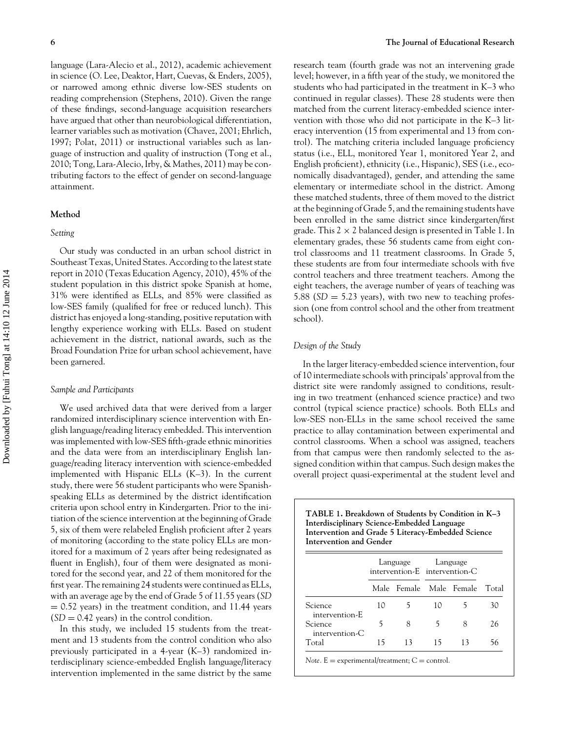language (Lara-Alecio et al., 2012), academic achievement in science (O. Lee, Deaktor, Hart, Cuevas, & Enders, 2005), or narrowed among ethnic diverse low-SES students on reading comprehension (Stephens, 2010). Given the range of these findings, second-language acquisition researchers have argued that other than neurobiological differentiation, learner variables such as motivation (Chavez, 2001; Ehrlich, 1997; Polat, 2011) or instructional variables such as language of instruction and quality of instruction (Tong et al., 2010; Tong, Lara-Alecio, Irby, & Mathes, 2011) may be contributing factors to the effect of gender on second-language attainment.

#### **Method**

#### *Setting*

Our study was conducted in an urban school district in Southeast Texas, United States. According to the latest state report in 2010 (Texas Education Agency, 2010), 45% of the student population in this district spoke Spanish at home, 31% were identified as ELLs, and 85% were classified as low-SES family (qualified for free or reduced lunch). This district has enjoyed a long-standing, positive reputation with lengthy experience working with ELLs. Based on student achievement in the district, national awards, such as the Broad Foundation Prize for urban school achievement, have been garnered.

#### *Sample and Participants*

We used archived data that were derived from a larger randomized interdisciplinary science intervention with English language/reading literacy embedded. This intervention was implemented with low-SES fifth-grade ethnic minorities and the data were from an interdisciplinary English language/reading literacy intervention with science-embedded implemented with Hispanic ELLs (K–3). In the current study, there were 56 student participants who were Spanishspeaking ELLs as determined by the district identification criteria upon school entry in Kindergarten. Prior to the initiation of the science intervention at the beginning of Grade 5, six of them were relabeled English proficient after 2 years of monitoring (according to the state policy ELLs are monitored for a maximum of 2 years after being redesignated as fluent in English), four of them were designated as monitored for the second year, and 22 of them monitored for the first year. The remaining 24 students were continued as ELLs, with an average age by the end of Grade 5 of 11.55 years (*SD*  $= 0.52$  years) in the treatment condition, and 11.44 years  $(SD = 0.42$  years) in the control condition.

In this study, we included 15 students from the treatment and 13 students from the control condition who also previously participated in a 4-year (K–3) randomized interdisciplinary science-embedded English language/literacy intervention implemented in the same district by the same research team (fourth grade was not an intervening grade level; however, in a fifth year of the study, we monitored the students who had participated in the treatment in K–3 who continued in regular classes). These 28 students were then matched from the current literacy-embedded science intervention with those who did not participate in the K–3 literacy intervention (15 from experimental and 13 from control). The matching criteria included language proficiency status (i.e., ELL, monitored Year 1, monitored Year 2, and English proficient), ethnicity (i.e., Hispanic), SES (i.e., economically disadvantaged), gender, and attending the same elementary or intermediate school in the district. Among these matched students, three of them moved to the district at the beginning of Grade 5, and the remaining students have been enrolled in the same district since kindergarten/first grade. This  $2 \times 2$  balanced design is presented in Table 1. In elementary grades, these 56 students came from eight control classrooms and 11 treatment classrooms. In Grade 5, these students are from four intermediate schools with five control teachers and three treatment teachers. Among the eight teachers, the average number of years of teaching was 5.88 ( $SD = 5.23$  years), with two new to teaching profession (one from control school and the other from treatment school).

### *Design of the Study*

In the larger literacy-embedded science intervention, four of 10 intermediate schools with principals' approval from the district site were randomly assigned to conditions, resulting in two treatment (enhanced science practice) and two control (typical science practice) schools. Both ELLs and low-SES non-ELLs in the same school received the same practice to allay contamination between experimental and control classrooms. When a school was assigned, teachers from that campus were then randomly selected to the assigned condition within that campus. Such design makes the overall project quasi-experimental at the student level and

| Interdisciplinary Science-Embedded Language<br>Intervention and Grade 5 Literacy-Embedded Science<br>Intervention and Gender |                                                           |    |    |                               |    |  |  |  |  |
|------------------------------------------------------------------------------------------------------------------------------|-----------------------------------------------------------|----|----|-------------------------------|----|--|--|--|--|
|                                                                                                                              | Language Language<br>$intervention - E$ intervention- $C$ |    |    |                               |    |  |  |  |  |
|                                                                                                                              |                                                           |    |    | Male Female Male Female Total |    |  |  |  |  |
| Science<br>intervention-E                                                                                                    | 10                                                        | 5  | 10 | 5                             | 30 |  |  |  |  |
| Science<br>intervention- $C$                                                                                                 | 5                                                         | 8  | 5  | 8                             | 26 |  |  |  |  |
| Total                                                                                                                        | 15                                                        | 13 | 15 | 13                            | 56 |  |  |  |  |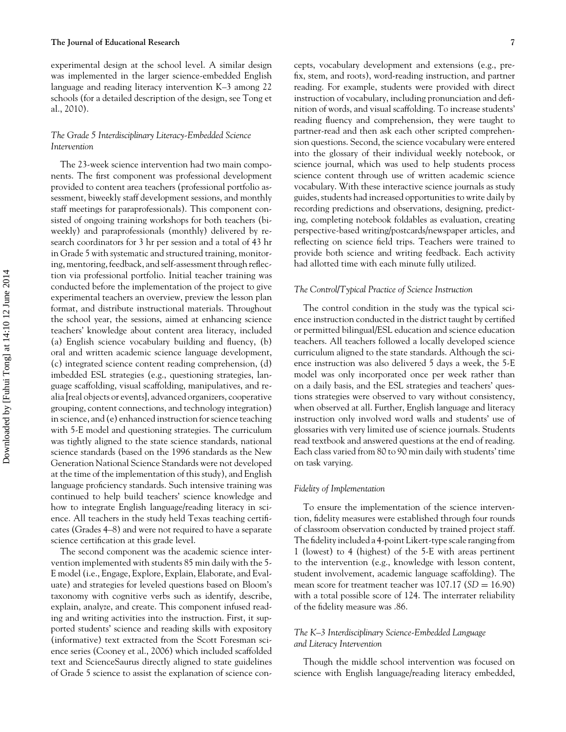experimental design at the school level. A similar design was implemented in the larger science-embedded English language and reading literacy intervention K–3 among 22 schools (for a detailed description of the design, see Tong et al., 2010).

# *The Grade 5 Interdisciplinary Literacy-Embedded Science Intervention*

The 23-week science intervention had two main components. The first component was professional development provided to content area teachers (professional portfolio assessment, biweekly staff development sessions, and monthly staff meetings for paraprofessionals). This component consisted of ongoing training workshops for both teachers (biweekly) and paraprofessionals (monthly) delivered by research coordinators for 3 hr per session and a total of 43 hr in Grade 5 with systematic and structured training, monitoring, mentoring, feedback, and self-assessment through reflection via professional portfolio. Initial teacher training was conducted before the implementation of the project to give experimental teachers an overview, preview the lesson plan format, and distribute instructional materials. Throughout the school year, the sessions, aimed at enhancing science teachers' knowledge about content area literacy, included (a) English science vocabulary building and fluency, (b) oral and written academic science language development, (c) integrated science content reading comprehension, (d) imbedded ESL strategies (e.g., questioning strategies, language scaffolding, visual scaffolding, manipulatives, and realia [real objects or events], advanced organizers, cooperative grouping, content connections, and technology integration) in science, and (e) enhanced instruction for science teaching with 5-E model and questioning strategies. The curriculum was tightly aligned to the state science standards, national science standards (based on the 1996 standards as the New Generation National Science Standards were not developed at the time of the implementation of this study), and English language proficiency standards. Such intensive training was continued to help build teachers' science knowledge and how to integrate English language/reading literacy in science. All teachers in the study held Texas teaching certificates (Grades 4–8) and were not required to have a separate science certification at this grade level.

The second component was the academic science intervention implemented with students 85 min daily with the 5- E model (i.e., Engage, Explore, Explain, Elaborate, and Evaluate) and strategies for leveled questions based on Bloom's taxonomy with cognitive verbs such as identify, describe, explain, analyze, and create. This component infused reading and writing activities into the instruction. First, it supported students' science and reading skills with expository (informative) text extracted from the Scott Foresman science series (Cooney et al., 2006) which included scaffolded text and ScienceSaurus directly aligned to state guidelines of Grade 5 science to assist the explanation of science concepts, vocabulary development and extensions (e.g., prefix, stem, and roots), word-reading instruction, and partner reading. For example, students were provided with direct instruction of vocabulary, including pronunciation and definition of words, and visual scaffolding. To increase students' reading fluency and comprehension, they were taught to partner-read and then ask each other scripted comprehension questions. Second, the science vocabulary were entered into the glossary of their individual weekly notebook, or science journal, which was used to help students process science content through use of written academic science vocabulary. With these interactive science journals as study guides, students had increased opportunities to write daily by recording predictions and observations, designing, predicting, completing notebook foldables as evaluation, creating perspective-based writing/postcards/newspaper articles, and reflecting on science field trips. Teachers were trained to provide both science and writing feedback. Each activity had allotted time with each minute fully utilized.

# *The Control/Typical Practice of Science Instruction*

The control condition in the study was the typical science instruction conducted in the district taught by certified or permitted bilingual/ESL education and science education teachers. All teachers followed a locally developed science curriculum aligned to the state standards. Although the science instruction was also delivered 5 days a week, the 5-E model was only incorporated once per week rather than on a daily basis, and the ESL strategies and teachers' questions strategies were observed to vary without consistency, when observed at all. Further, English language and literacy instruction only involved word walls and students' use of glossaries with very limited use of science journals. Students read textbook and answered questions at the end of reading. Each class varied from 80 to 90 min daily with students' time on task varying.

### *Fidelity of Implementation*

To ensure the implementation of the science intervention, fidelity measures were established through four rounds of classroom observation conducted by trained project staff. The fidelity included a 4-point Likert-type scale ranging from 1 (lowest) to 4 (highest) of the 5-E with areas pertinent to the intervention (e.g., knowledge with lesson content, student involvement, academic language scaffolding). The mean score for treatment teacher was  $107.17$  (*SD* = 16.90) with a total possible score of 124. The interrater reliability of the fidelity measure was .86.

# *The K–3 Interdisciplinary Science-Embedded Language and Literacy Intervention*

Though the middle school intervention was focused on science with English language/reading literacy embedded,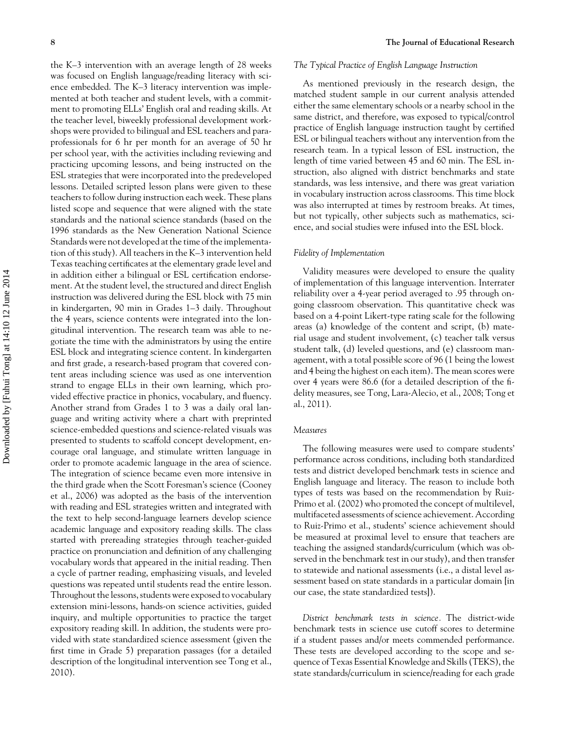the K–3 intervention with an average length of 28 weeks was focused on English language/reading literacy with science embedded. The K–3 literacy intervention was implemented at both teacher and student levels, with a commitment to promoting ELLs' English oral and reading skills. At the teacher level, biweekly professional development workshops were provided to bilingual and ESL teachers and paraprofessionals for 6 hr per month for an average of 50 hr per school year, with the activities including reviewing and practicing upcoming lessons, and being instructed on the ESL strategies that were incorporated into the predeveloped lessons. Detailed scripted lesson plans were given to these teachers to follow during instruction each week. These plans listed scope and sequence that were aligned with the state standards and the national science standards (based on the 1996 standards as the New Generation National Science Standards were not developed at the time of the implementation of this study). All teachers in the K–3 intervention held Texas teaching certificates at the elementary grade level and in addition either a bilingual or ESL certification endorsement. At the student level, the structured and direct English instruction was delivered during the ESL block with 75 min in kindergarten, 90 min in Grades 1–3 daily. Throughout the 4 years, science contents were integrated into the longitudinal intervention. The research team was able to negotiate the time with the administrators by using the entire ESL block and integrating science content. In kindergarten and first grade, a research-based program that covered content areas including science was used as one intervention strand to engage ELLs in their own learning, which provided effective practice in phonics, vocabulary, and fluency. Another strand from Grades 1 to 3 was a daily oral language and writing activity where a chart with preprinted science-embedded questions and science-related visuals was presented to students to scaffold concept development, encourage oral language, and stimulate written language in order to promote academic language in the area of science. The integration of science became even more intensive in the third grade when the Scott Foresman's science (Cooney et al., 2006) was adopted as the basis of the intervention with reading and ESL strategies written and integrated with the text to help second-language learners develop science academic language and expository reading skills. The class started with prereading strategies through teacher-guided practice on pronunciation and definition of any challenging vocabulary words that appeared in the initial reading. Then a cycle of partner reading, emphasizing visuals, and leveled questions was repeated until students read the entire lesson. Throughout the lessons, students were exposed to vocabulary extension mini-lessons, hands-on science activities, guided inquiry, and multiple opportunities to practice the target expository reading skill. In addition, the students were provided with state standardized science assessment (given the first time in Grade 5) preparation passages (for a detailed description of the longitudinal intervention see Tong et al., 2010).

#### *The Typical Practice of English Language Instruction*

As mentioned previously in the research design, the matched student sample in our current analysis attended either the same elementary schools or a nearby school in the same district, and therefore, was exposed to typical/control practice of English language instruction taught by certified ESL or bilingual teachers without any intervention from the research team. In a typical lesson of ESL instruction, the length of time varied between 45 and 60 min. The ESL instruction, also aligned with district benchmarks and state standards, was less intensive, and there was great variation in vocabulary instruction across classrooms. This time block was also interrupted at times by restroom breaks. At times, but not typically, other subjects such as mathematics, science, and social studies were infused into the ESL block.

# *Fidelity of Implementation*

Validity measures were developed to ensure the quality of implementation of this language intervention. Interrater reliability over a 4-year period averaged to .95 through ongoing classroom observation. This quantitative check was based on a 4-point Likert-type rating scale for the following areas (a) knowledge of the content and script, (b) material usage and student involvement, (c) teacher talk versus student talk, (d) leveled questions, and (e) classroom management, with a total possible score of 96 (1 being the lowest and 4 being the highest on each item). The mean scores were over 4 years were 86.6 (for a detailed description of the fidelity measures, see Tong, Lara-Alecio, et al., 2008; Tong et al., 2011).

#### *Measures*

The following measures were used to compare students' performance across conditions, including both standardized tests and district developed benchmark tests in science and English language and literacy. The reason to include both types of tests was based on the recommendation by Ruiz-Primo et al. (2002) who promoted the concept of multilevel, multifaceted assessments of science achievement. According to Ruiz-Primo et al., students' science achievement should be measured at proximal level to ensure that teachers are teaching the assigned standards/curriculum (which was observed in the benchmark test in our study), and then transfer to statewide and national assessments (i.e., a distal level assessment based on state standards in a particular domain [in our case, the state standardized tests]).

*District benchmark tests in science.* The district-wide benchmark tests in science use cutoff scores to determine if a student passes and/or meets commended performance. These tests are developed according to the scope and sequence of Texas Essential Knowledge and Skills (TEKS), the state standards/curriculum in science/reading for each grade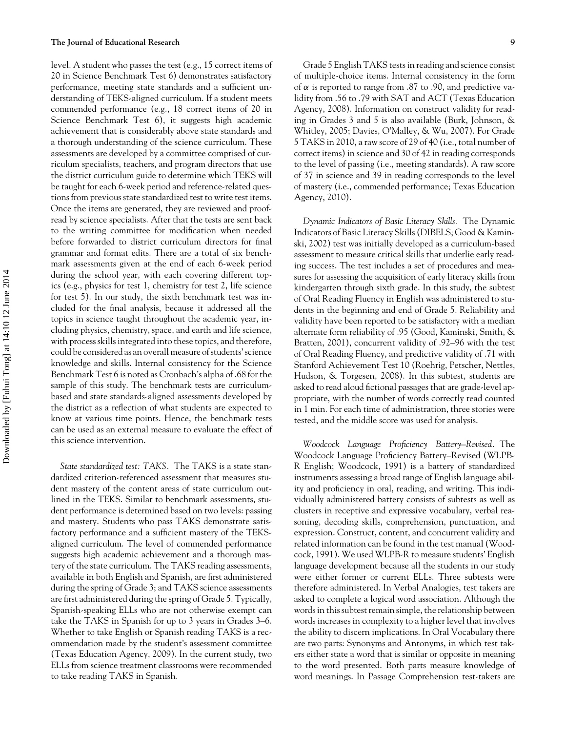level. A student who passes the test (e.g., 15 correct items of 20 in Science Benchmark Test 6) demonstrates satisfactory performance, meeting state standards and a sufficient understanding of TEKS-aligned curriculum. If a student meets commended performance (e.g., 18 correct items of 20 in Science Benchmark Test 6), it suggests high academic achievement that is considerably above state standards and a thorough understanding of the science curriculum. These assessments are developed by a committee comprised of curriculum specialists, teachers, and program directors that use the district curriculum guide to determine which TEKS will be taught for each 6-week period and reference-related questions from previous state standardized test to write test items. Once the items are generated, they are reviewed and proofread by science specialists. After that the tests are sent back to the writing committee for modification when needed before forwarded to district curriculum directors for final grammar and format edits. There are a total of six benchmark assessments given at the end of each 6-week period during the school year, with each covering different topics (e.g., physics for test 1, chemistry for test 2, life science for test 5). In our study, the sixth benchmark test was included for the final analysis, because it addressed all the topics in science taught throughout the academic year, including physics, chemistry, space, and earth and life science, with process skills integrated into these topics, and therefore, could be considered as an overall measure of students' science knowledge and skills. Internal consistency for the Science Benchmark Test 6 is noted as Cronbach's alpha of .68 for the sample of this study. The benchmark tests are curriculumbased and state standards-aligned assessments developed by the district as a reflection of what students are expected to know at various time points. Hence, the benchmark tests can be used as an external measure to evaluate the effect of this science intervention.

*State standardized test: TAKS.* The TAKS is a state standardized criterion-referenced assessment that measures student mastery of the content areas of state curriculum outlined in the TEKS. Similar to benchmark assessments, student performance is determined based on two levels: passing and mastery. Students who pass TAKS demonstrate satisfactory performance and a sufficient mastery of the TEKSaligned curriculum. The level of commended performance suggests high academic achievement and a thorough mastery of the state curriculum. The TAKS reading assessments, available in both English and Spanish, are first administered during the spring of Grade 3; and TAKS science assessments are first administered during the spring of Grade 5. Typically, Spanish-speaking ELLs who are not otherwise exempt can take the TAKS in Spanish for up to 3 years in Grades 3–6. Whether to take English or Spanish reading TAKS is a recommendation made by the student's assessment committee (Texas Education Agency, 2009). In the current study, two ELLs from science treatment classrooms were recommended to take reading TAKS in Spanish.

Grade 5 English TAKS tests in reading and science consist of multiple-choice items. Internal consistency in the form of  $\alpha$  is reported to range from .87 to .90, and predictive validity from .56 to .79 with SAT and ACT (Texas Education Agency, 2008). Information on construct validity for reading in Grades 3 and 5 is also available (Burk, Johnson, & Whitley, 2005; Davies, O'Malley, & Wu, 2007). For Grade 5 TAKS in 2010, a raw score of 29 of 40 (i.e., total number of correct items) in science and 30 of 42 in reading corresponds to the level of passing (i.e., meeting standards). A raw score of 37 in science and 39 in reading corresponds to the level of mastery (i.e., commended performance; Texas Education Agency, 2010).

*Dynamic Indicators of Basic Literacy Skills.* The Dynamic Indicators of Basic Literacy Skills (DIBELS; Good & Kaminski, 2002) test was initially developed as a curriculum-based assessment to measure critical skills that underlie early reading success. The test includes a set of procedures and measures for assessing the acquisition of early literacy skills from kindergarten through sixth grade. In this study, the subtest of Oral Reading Fluency in English was administered to students in the beginning and end of Grade 5. Reliability and validity have been reported to be satisfactory with a median alternate form reliability of .95 (Good, Kaminski, Smith, & Bratten, 2001), concurrent validity of .92–96 with the test of Oral Reading Fluency, and predictive validity of .71 with Stanford Achievement Test 10 (Roehrig, Petscher, Nettles, Hudson, & Torgesen, 2008). In this subtest, students are asked to read aloud fictional passages that are grade-level appropriate, with the number of words correctly read counted in 1 min. For each time of administration, three stories were tested, and the middle score was used for analysis.

*Woodcock Language Proficiency Battery–Revised.* The Woodcock Language Proficiency Battery–Revised (WLPB-R English; Woodcock, 1991) is a battery of standardized instruments assessing a broad range of English language ability and proficiency in oral, reading, and writing. This individually administered battery consists of subtests as well as clusters in receptive and expressive vocabulary, verbal reasoning, decoding skills, comprehension, punctuation, and expression. Construct, content, and concurrent validity and related information can be found in the test manual (Woodcock, 1991). We used WLPB-R to measure students' English language development because all the students in our study were either former or current ELLs. Three subtests were therefore administered. In Verbal Analogies, test takers are asked to complete a logical word association. Although the words in this subtest remain simple, the relationship between words increases in complexity to a higher level that involves the ability to discern implications. In Oral Vocabulary there are two parts: Synonyms and Antonyms, in which test takers either state a word that is similar or opposite in meaning to the word presented. Both parts measure knowledge of word meanings. In Passage Comprehension test-takers are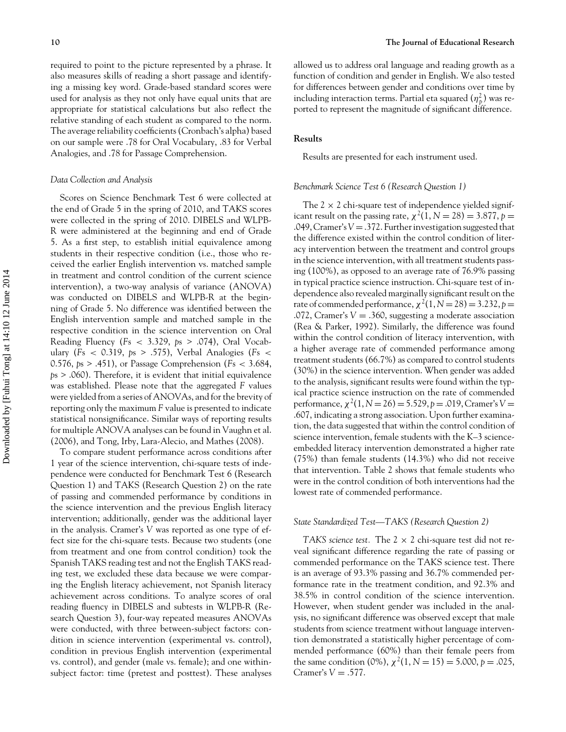required to point to the picture represented by a phrase. It also measures skills of reading a short passage and identifying a missing key word. Grade-based standard scores were used for analysis as they not only have equal units that are appropriate for statistical calculations but also reflect the relative standing of each student as compared to the norm. The average reliability coefficients (Cronbach's alpha) based on our sample were .78 for Oral Vocabulary, .83 for Verbal Analogies, and .78 for Passage Comprehension.

#### *Data Collection and Analysis*

Scores on Science Benchmark Test 6 were collected at the end of Grade 5 in the spring of 2010, and TAKS scores were collected in the spring of 2010. DIBELS and WLPB-R were administered at the beginning and end of Grade 5. As a first step, to establish initial equivalence among students in their respective condition (i.e., those who received the earlier English intervention vs. matched sample in treatment and control condition of the current science intervention), a two-way analysis of variance (ANOVA) was conducted on DIBELS and WLPB-R at the beginning of Grade 5. No difference was identified between the English intervention sample and matched sample in the respective condition in the science intervention on Oral Reading Fluency (*F*s < 3.329, *p*s > .074), Oral Vocabulary (*F*s < 0.319, *p*s > .575), Verbal Analogies (*F*s < 0.576, *p*s > .451), or Passage Comprehension (*F*s < 3.684, *p*s > .060). Therefore, it is evident that initial equivalence was established. Please note that the aggregated *F* values were yielded from a series of ANOVAs, and for the brevity of reporting only the maximum *F* value is presented to indicate statistical nonsignificance. Similar ways of reporting results for multiple ANOVA analyses can be found in Vaughn et al. (2006), and Tong, Irby, Lara-Alecio, and Mathes (2008).

To compare student performance across conditions after 1 year of the science intervention, chi-square tests of independence were conducted for Benchmark Test 6 (Research Question 1) and TAKS (Research Question 2) on the rate of passing and commended performance by conditions in the science intervention and the previous English literacy intervention; additionally, gender was the additional layer in the analysis. Cramer's *V* was reported as one type of effect size for the chi-square tests. Because two students (one from treatment and one from control condition) took the Spanish TAKS reading test and not the English TAKS reading test, we excluded these data because we were comparing the English literacy achievement, not Spanish literacy achievement across conditions. To analyze scores of oral reading fluency in DIBELS and subtests in WLPB-R (Research Question 3), four-way repeated measures ANOVAs were conducted, with three between-subject factors: condition in science intervention (experimental vs. control), condition in previous English intervention (experimental vs. control), and gender (male vs. female); and one withinsubject factor: time (pretest and posttest). These analyses allowed us to address oral language and reading growth as a function of condition and gender in English. We also tested for differences between gender and conditions over time by including interaction terms. Partial eta squared  $(\eta_p^2)$  was reported to represent the magnitude of significant difference.

#### **Results**

Results are presented for each instrument used.

#### *Benchmark Science Test 6 (Research Question 1)*

The  $2 \times 2$  chi-square test of independence yielded significant result on the passing rate,  $\chi^2(1, N = 28) = 3.877$ ,  $p =$ .049, Cramer's  $V = 0.372$ . Further investigation suggested that the difference existed within the control condition of literacy intervention between the treatment and control groups in the science intervention, with all treatment students passing (100%), as opposed to an average rate of 76.9% passing in typical practice science instruction. Chi-square test of independence also revealed marginally significant result on the rate of commended performance,  $\chi^2(1, N = 28) = 3.232, p =$ .072, Cramer's  $V = .360$ , suggesting a moderate association (Rea & Parker, 1992). Similarly, the difference was found within the control condition of literacy intervention, with a higher average rate of commended performance among treatment students (66.7%) as compared to control students (30%) in the science intervention. When gender was added to the analysis, significant results were found within the typical practice science instruction on the rate of commended performance,  $\chi^2(1, N = 26) = 5.529, p = .019$ , Cramer's V = .607, indicating a strong association. Upon further examination, the data suggested that within the control condition of science intervention, female students with the K–3 scienceembedded literacy intervention demonstrated a higher rate (75%) than female students (14.3%) who did not receive that intervention. Table 2 shows that female students who were in the control condition of both interventions had the lowest rate of commended performance.

#### *State Standardized Test—TAKS (Research Question 2)*

*TAKS science test.* The  $2 \times 2$  chi-square test did not reveal significant difference regarding the rate of passing or commended performance on the TAKS science test. There is an average of 93.3% passing and 36.7% commended performance rate in the treatment condition, and 92.3% and 38.5% in control condition of the science intervention. However, when student gender was included in the analysis, no significant difference was observed except that male students from science treatment without language intervention demonstrated a statistically higher percentage of commended performance (60%) than their female peers from the same condition (0%),  $\chi^2(1, N = 15) = 5.000$ ,  $p = .025$ , Cramer's  $V = .577$ .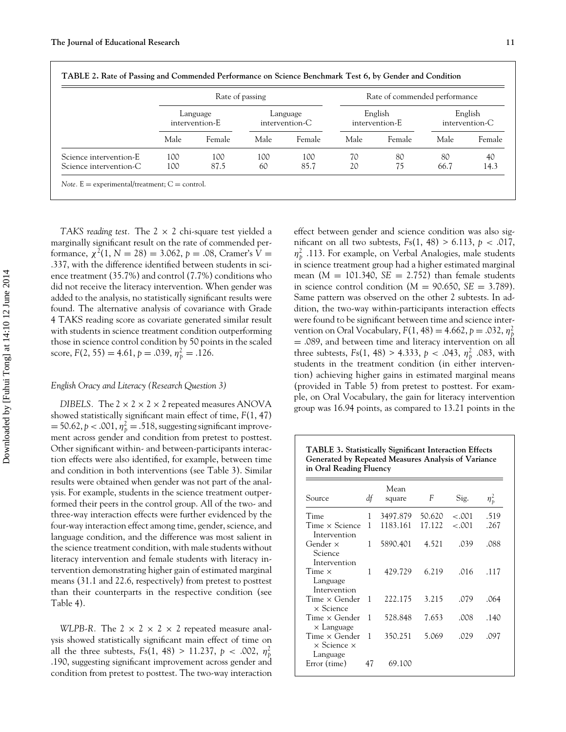|                        |                            | Rate of passing |                            |        | Rate of commended performance |        |                           |        |  |
|------------------------|----------------------------|-----------------|----------------------------|--------|-------------------------------|--------|---------------------------|--------|--|
|                        | Language<br>intervention-E |                 | Language<br>intervention-C |        | English<br>intervention-E     |        | English<br>intervention-C |        |  |
|                        | Male                       | Female          | Male                       | Female | Male                          | Female | Male                      | Female |  |
| Science intervention-E | 100                        | 100             | 100                        | 100    | 70                            | 80     | 80                        | 40     |  |
| Science intervention-C | 100                        | 87.5            | 60                         | 85.7   | 20                            | 75     | 66.7                      | 14.3   |  |

**TABLE 2. Rate of Passing and Commended Performance on Science Benchmark Test 6, by Gender and Condition**

*TAKS reading test.* The 2 × 2 chi-square test yielded a marginally significant result on the rate of commended performance,  $\chi^2(1, N = 28) = 3.062$ ,  $p = .08$ , Cramer's  $V =$ .337, with the difference identified between students in science treatment (35.7%) and control (7.7%) conditions who did not receive the literacy intervention. When gender was added to the analysis, no statistically significant results were found. The alternative analysis of covariance with Grade 4 TAKS reading score as covariate generated similar result with students in science treatment condition outperforming those in science control condition by 50 points in the scaled score,  $F(2, 55) = 4.61$ ,  $p = .039$ ,  $\eta_p^2 = .126$ .

# *English Oracy and Literacy (Research Question 3)*

*DIBELS.* The  $2 \times 2 \times 2 \times 2$  repeated measures ANOVA showed statistically significant main effect of time, *F*(1, 47)  $= 50.62, p < .001, \eta_p^2 = .518$ , suggesting significant improvement across gender and condition from pretest to posttest. Other significant within- and between-participants interaction effects were also identified, for example, between time and condition in both interventions (see Table 3). Similar results were obtained when gender was not part of the analysis. For example, students in the science treatment outperformed their peers in the control group. All of the two- and three-way interaction effects were further evidenced by the four-way interaction effect among time, gender, science, and language condition, and the difference was most salient in the science treatment condition, with male students without literacy intervention and female students with literacy intervention demonstrating higher gain of estimated marginal means (31.1 and 22.6, respectively) from pretest to posttest than their counterparts in the respective condition (see Table 4).

*WLPB-R.* The  $2 \times 2 \times 2 \times 2$  repeated measure analysis showed statistically significant main effect of time on all the three subtests,  $Fs(1, 48) > 11.237, p < .002, \eta_p^2$ .190, suggesting significant improvement across gender and condition from pretest to posttest. The two-way interaction effect between gender and science condition was also significant on all two subtests, *F*s(1, 48) > 6.113, *p* < .017,  $\eta_p^2$  .113. For example, on Verbal Analogies, male students in science treatment group had a higher estimated marginal mean  $(M = 101.340, SE = 2.752)$  than female students in science control condition ( $M = 90.650$ ,  $SE = 3.789$ ). Same pattern was observed on the other 2 subtests. In addition, the two-way within-participants interaction effects were found to be significant between time and science intervention on Oral Vocabulary,  $F(1, 48) = 4.662$ ,  $p = .032$ ,  $\eta_p^2$ = .089, and between time and literacy intervention on all three subtests,  $Fs(1, 48) > 4.333$ ,  $p < .043$ ,  $\eta_p^2$ .083, with students in the treatment condition (in either intervention) achieving higher gains in estimated marginal means (provided in Table 5) from pretest to posttest. For example, on Oral Vocabulary, the gain for literacy intervention group was 16.94 points, as compared to 13.21 points in the

| <b>TABLE 3. Statistically Significant Interaction Effects</b><br>Generated by Repeated Measures Analysis of Variance<br>in Oral Reading Fluency |      |                                                                               |  |
|-------------------------------------------------------------------------------------------------------------------------------------------------|------|-------------------------------------------------------------------------------|--|
|                                                                                                                                                 | Mean | $\mathbf{r}$ $\mathbf{r}$ $\mathbf{r}$ $\mathbf{r}$ $\mathbf{r}$ $\mathbf{r}$ |  |

| Source                                                 | df | Mean<br>square | F      | Sig.    | $\eta_{b}^{2}$ |
|--------------------------------------------------------|----|----------------|--------|---------|----------------|
| Time                                                   | 1  | 3497.879       | 50.620 | $-.001$ | .519           |
| Time × Science<br>Intervention                         | 1  | 1183.161       | 17.122 | $-.001$ | .267           |
| Gender ×<br>Science<br>Intervention                    | 1  | 5890.401       | 4.521  | .039    | .088           |
| Time $\times$<br>Language<br>Intervention              | 1  | 429.729        | 6.219  | .016    | .117           |
| Time $\times$ Gender<br>$\times$ Science               | 1  | 222.175        | 3.215  | .079    | .064           |
| Time $\times$ Gender<br>$\times$ Language              | 1  | 528.848        | 7.653  | .008    | .140           |
| Time × Gender<br>$\times$ Science $\times$<br>Language | -1 | 350.251        | 5.069  | .029    | .097           |
| Error (time)                                           | 47 | 69.100         |        |         |                |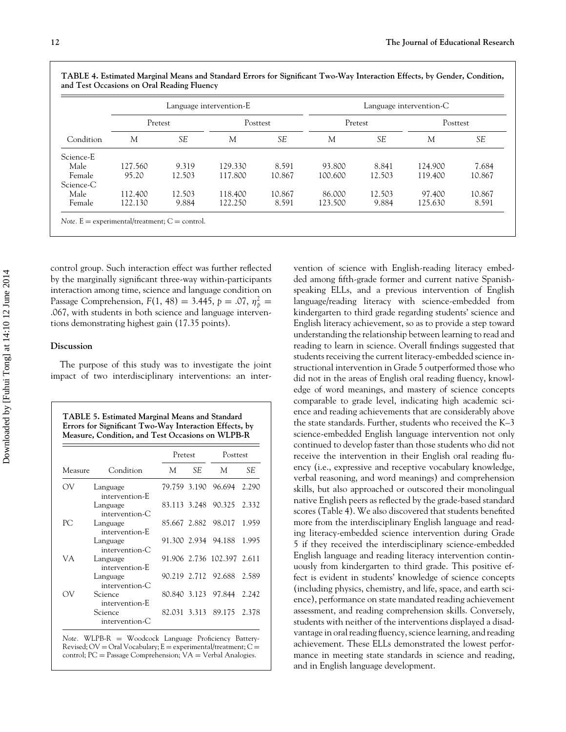|           |         |        | Language intervention-E |        |         |           | Language intervention-C |           |
|-----------|---------|--------|-------------------------|--------|---------|-----------|-------------------------|-----------|
|           | Pretest |        | Posttest                |        | Pretest |           | Posttest                |           |
| Condition | M       | SE     | M                       | SE     | M       | <b>SE</b> | M                       | <b>SE</b> |
| Science-E |         |        |                         |        |         |           |                         |           |
| Male      | 127.560 | 9.319  | 129.330                 | 8.591  | 93.800  | 8.841     | 124.900                 | 7.684     |
| Female    | 95.20   | 12.503 | 117.800                 | 10.867 | 100.600 | 12.503    | 119.400                 | 10.867    |
| Science-C |         |        |                         |        |         |           |                         |           |
| Male      | 112.400 | 12.503 | 118.400                 | 10.867 | 86,000  | 12.503    | 97.400                  | 10.867    |
| Female    | 122.130 | 9.884  | 122.250                 | 8.591  | 123.500 | 9.884     | 125.630                 | 8.591     |

**TABLE 4. Estimated Marginal Means and Standard Errors for Significant Two-Way Interaction Effects, by Gender, Condition, and Test Occasions on Oral Reading Fluency**

control group. Such interaction effect was further reflected by the marginally significant three-way within-participants interaction among time, science and language condition on Passage Comprehension,  $F(1, 48) = 3.445$ ,  $p = .07$ ,  $\eta_p^2 =$ .067, with students in both science and language interventions demonstrating highest gain (17.35 points).

#### **Discussion**

The purpose of this study was to investigate the joint impact of two interdisciplinary interventions: an inter-

|         | TABLE 5. Estimated Marginal Means and Standard<br>Errors for Significant Two-Way Interaction Effects, by<br>Measure, Condition, and Test Occasions on WLPB-R |              |    |                            |       |  |
|---------|--------------------------------------------------------------------------------------------------------------------------------------------------------------|--------------|----|----------------------------|-------|--|
|         |                                                                                                                                                              | Pretest      |    | Posttest                   |       |  |
| Measure | Condition                                                                                                                                                    | M            | SE | M                          | SE    |  |
| OV      | Language<br>intervention-E                                                                                                                                   | 79.759 3.190 |    | 96.694                     | 2.290 |  |
|         | Language<br>intervention-C                                                                                                                                   | 83.113 3.248 |    | 90.325                     | 2.332 |  |
| PС      | Language<br>intervention-E                                                                                                                                   | 85.667 2.882 |    | 98.017                     | 1.959 |  |
|         | Language<br>intervention-C                                                                                                                                   | 91.300 2.934 |    | 94.188                     | 1.995 |  |
| VA      | Language<br>intervention-E                                                                                                                                   |              |    | 91.906 2.736 102.397 2.611 |       |  |
|         | Language<br>intervention-C                                                                                                                                   | 90.219 2.712 |    | 92.688                     | 2.589 |  |
| OV      | Science<br>intervention-E                                                                                                                                    |              |    | 80.840 3.123 97.844        | 2.242 |  |
|         | Science<br>intervention- $C$                                                                                                                                 | 82.031 3.313 |    | 89.175                     | 2.378 |  |

*Note.* WLPB-R = Woodcock Language Proficiency Battery-Revised;  $OV = Oral Vocabulary; E = experimental/treatment; C =$ control;  $PC =$  Passage Comprehension;  $VA =$  Verbal Analogies.

vention of science with English-reading literacy embedded among fifth-grade former and current native Spanishspeaking ELLs, and a previous intervention of English language/reading literacy with science-embedded from kindergarten to third grade regarding students' science and English literacy achievement, so as to provide a step toward understanding the relationship between learning to read and reading to learn in science. Overall findings suggested that students receiving the current literacy-embedded science instructional intervention in Grade 5 outperformed those who did not in the areas of English oral reading fluency, knowledge of word meanings, and mastery of science concepts comparable to grade level, indicating high academic science and reading achievements that are considerably above the state standards. Further, students who received the K–3 science-embedded English language intervention not only continued to develop faster than those students who did not receive the intervention in their English oral reading fluency (i.e., expressive and receptive vocabulary knowledge, verbal reasoning, and word meanings) and comprehension skills, but also approached or outscored their monolingual native English peers as reflected by the grade-based standard scores (Table 4). We also discovered that students benefited more from the interdisciplinary English language and reading literacy-embedded science intervention during Grade 5 if they received the interdisciplinary science-embedded English language and reading literacy intervention continuously from kindergarten to third grade. This positive effect is evident in students' knowledge of science concepts (including physics, chemistry, and life, space, and earth science), performance on state mandated reading achievement assessment, and reading comprehension skills. Conversely, students with neither of the interventions displayed a disadvantage in oral reading fluency, science learning, and reading achievement. These ELLs demonstrated the lowest performance in meeting state standards in science and reading, and in English language development.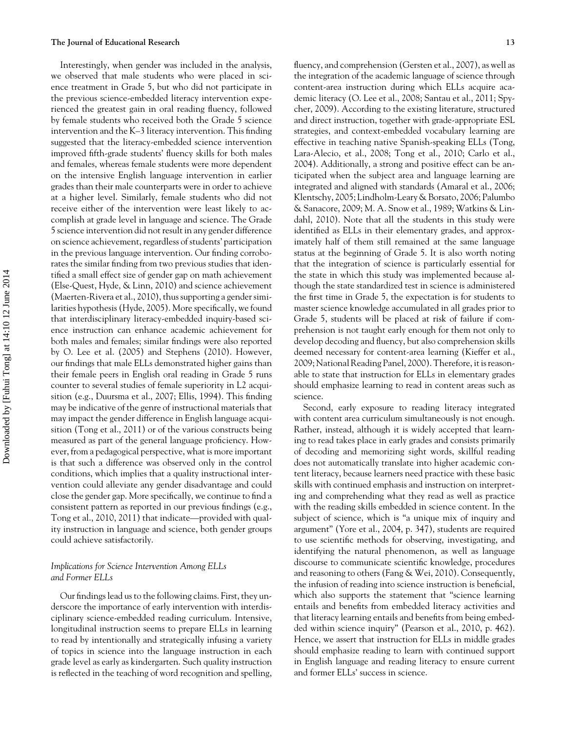Interestingly, when gender was included in the analysis, we observed that male students who were placed in science treatment in Grade 5, but who did not participate in the previous science-embedded literacy intervention experienced the greatest gain in oral reading fluency, followed by female students who received both the Grade 5 science intervention and the K–3 literacy intervention. This finding suggested that the literacy-embedded science intervention improved fifth-grade students' fluency skills for both males and females, whereas female students were more dependent on the intensive English language intervention in earlier grades than their male counterparts were in order to achieve at a higher level. Similarly, female students who did not receive either of the intervention were least likely to accomplish at grade level in language and science. The Grade 5 science intervention did not result in any gender difference on science achievement, regardless of students' participation in the previous language intervention. Our finding corroborates the similar finding from two previous studies that identified a small effect size of gender gap on math achievement (Else-Quest, Hyde, & Linn, 2010) and science achievement (Maerten-Rivera et al., 2010), thus supporting a gender similarities hypothesis (Hyde, 2005). More specifically, we found that interdisciplinary literacy-embedded inquiry-based science instruction can enhance academic achievement for both males and females; similar findings were also reported by O. Lee et al. (2005) and Stephens (2010). However, our findings that male ELLs demonstrated higher gains than their female peers in English oral reading in Grade 5 runs counter to several studies of female superiority in L2 acquisition (e.g., Duursma et al., 2007; Ellis, 1994). This finding may be indicative of the genre of instructional materials that may impact the gender difference in English language acquisition (Tong et al., 2011) or of the various constructs being measured as part of the general language proficiency. However, from a pedagogical perspective, what is more important is that such a difference was observed only in the control conditions, which implies that a quality instructional intervention could alleviate any gender disadvantage and could close the gender gap. More specifically, we continue to find a consistent pattern as reported in our previous findings (e.g., Tong et al., 2010, 2011) that indicate—provided with quality instruction in language and science, both gender groups could achieve satisfactorily.

# *Implications for Science Intervention Among ELLs and Former ELLs*

Our findings lead us to the following claims. First, they underscore the importance of early intervention with interdisciplinary science-embedded reading curriculum. Intensive, longitudinal instruction seems to prepare ELLs in learning to read by intentionally and strategically infusing a variety of topics in science into the language instruction in each grade level as early as kindergarten. Such quality instruction is reflected in the teaching of word recognition and spelling, fluency, and comprehension (Gersten et al., 2007), as well as the integration of the academic language of science through content-area instruction during which ELLs acquire academic literacy (O. Lee et al., 2008; Santau et al., 2011; Spycher, 2009). According to the existing literature, structured and direct instruction, together with grade-appropriate ESL strategies, and context-embedded vocabulary learning are effective in teaching native Spanish-speaking ELLs (Tong, Lara-Alecio, et al., 2008; Tong et al., 2010; Carlo et al., 2004). Additionally, a strong and positive effect can be anticipated when the subject area and language learning are integrated and aligned with standards (Amaral et al., 2006; Klentschy, 2005; Lindholm-Leary & Borsato, 2006; Palumbo & Sanacore, 2009; M. A. Snow et al., 1989; Watkins & Lindahl, 2010). Note that all the students in this study were identified as ELLs in their elementary grades, and approximately half of them still remained at the same language status at the beginning of Grade 5. It is also worth noting that the integration of science is particularly essential for the state in which this study was implemented because although the state standardized test in science is administered the first time in Grade 5, the expectation is for students to master science knowledge accumulated in all grades prior to Grade 5, students will be placed at risk of failure if comprehension is not taught early enough for them not only to develop decoding and fluency, but also comprehension skills deemed necessary for content-area learning (Kieffer et al., 2009; National Reading Panel, 2000). Therefore, it is reasonable to state that instruction for ELLs in elementary grades should emphasize learning to read in content areas such as science.

Second, early exposure to reading literacy integrated with content area curriculum simultaneously is not enough. Rather, instead, although it is widely accepted that learning to read takes place in early grades and consists primarily of decoding and memorizing sight words, skillful reading does not automatically translate into higher academic content literacy, because learners need practice with these basic skills with continued emphasis and instruction on interpreting and comprehending what they read as well as practice with the reading skills embedded in science content. In the subject of science, which is "a unique mix of inquiry and argument" (Yore et al., 2004, p. 347), students are required to use scientific methods for observing, investigating, and identifying the natural phenomenon, as well as language discourse to communicate scientific knowledge, procedures and reasoning to others (Fang & Wei, 2010). Consequently, the infusion of reading into science instruction is beneficial, which also supports the statement that "science learning entails and benefits from embedded literacy activities and that literacy learning entails and benefits from being embedded within science inquiry" (Pearson et al., 2010, p. 462). Hence, we assert that instruction for ELLs in middle grades should emphasize reading to learn with continued support in English language and reading literacy to ensure current and former ELLs' success in science.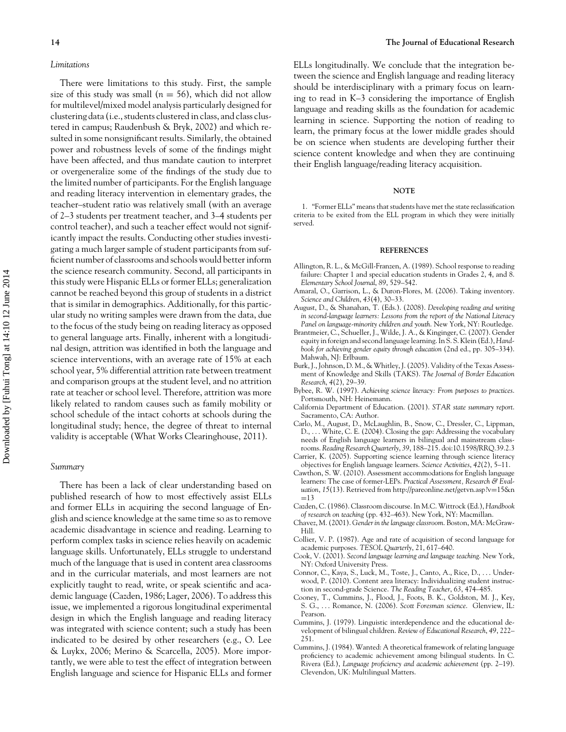#### *Limitations*

There were limitations to this study. First, the sample size of this study was small  $(n = 56)$ , which did not allow for multilevel/mixed model analysis particularly designed for clustering data (i.e., students clustered in class, and class clustered in campus; Raudenbush & Bryk, 2002) and which resulted in some nonsignificant results. Similarly, the obtained power and robustness levels of some of the findings might have been affected, and thus mandate caution to interpret or overgeneralize some of the findings of the study due to the limited number of participants. For the English language and reading literacy intervention in elementary grades, the teacher–student ratio was relatively small (with an average of 2–3 students per treatment teacher, and 3–4 students per control teacher), and such a teacher effect would not significantly impact the results. Conducting other studies investigating a much larger sample of student participants from sufficient number of classrooms and schools would better inform the science research community. Second, all participants in this study were Hispanic ELLs or former ELLs; generalization cannot be reached beyond this group of students in a district that is similar in demographics. Additionally, for this particular study no writing samples were drawn from the data, due to the focus of the study being on reading literacy as opposed to general language arts. Finally, inherent with a longitudinal design, attrition was identified in both the language and science interventions, with an average rate of 15% at each school year, 5% differential attrition rate between treatment and comparison groups at the student level, and no attrition rate at teacher or school level. Therefore, attrition was more likely related to random causes such as family mobility or school schedule of the intact cohorts at schools during the longitudinal study; hence, the degree of threat to internal validity is acceptable (What Works Clearinghouse, 2011).

#### *Summary*

There has been a lack of clear understanding based on published research of how to most effectively assist ELLs and former ELLs in acquiring the second language of English and science knowledge at the same time so as to remove academic disadvantage in science and reading. Learning to perform complex tasks in science relies heavily on academic language skills. Unfortunately, ELLs struggle to understand much of the language that is used in content area classrooms and in the curricular materials, and most learners are not explicitly taught to read, write, or speak scientific and academic language (Cazden, 1986; Lager, 2006). To address this issue, we implemented a rigorous longitudinal experimental design in which the English language and reading literacy was integrated with science content; such a study has been indicated to be desired by other researchers (e.g., O. Lee & Luykx, 2006; Merino & Scarcella, 2005). More importantly, we were able to test the effect of integration between English language and science for Hispanic ELLs and former ELLs longitudinally. We conclude that the integration between the science and English language and reading literacy should be interdisciplinary with a primary focus on learning to read in K–3 considering the importance of English language and reading skills as the foundation for academic learning in science. Supporting the notion of reading to learn, the primary focus at the lower middle grades should be on science when students are developing further their science content knowledge and when they are continuing their English language/reading literacy acquisition.

#### **NOTE**

1. "Former ELLs" means that students have met the state reclassification criteria to be exited from the ELL program in which they were initially served.

#### **REFERENCES**

- Allington, R. L., & McGill-Franzen, A. (1989). School response to reading failure: Chapter 1 and special education students in Grades 2, 4, and 8. *Elementary School Journal*, *89*, 529–542.
- Amaral, O., Garrison, L., & Duron-Flores, M. (2006). Taking inventory. *Science and Children*, *43*(4), 30–33.
- August, D., & Shanahan, T. (Eds.). (2008). *Developing reading and writing in second-language learners: Lessons from the report of the National Literacy Panel on language-minority children and youth*. New York, NY: Routledge.
- Brantmeier, C., Schueller, J., Wilde, J. A., & Kinginger, C. (2007). Gender equity in foreign and second language learning. In S. S. Klein (Ed.), *Handbook for achieving gender equity through education* (2nd ed., pp. 305–334). Mahwah, NJ: Erlbaum.
- Burk, J., Johnson, D. M., & Whitley, J. (2005). Validity of the Texas Assessment of Knowledge and Skills (TAKS). *The Journal of Border Education Research*, *4*(2), 29–39.
- Bybee, R. W. (1997). *Achieving science literacy: From purposes to practices*. Portsmouth, NH: Heinemann.
- California Department of Education. (2001). *STAR state summary report*. Sacramento, CA: Author.
- Carlo, M., August, D., McLaughlin, B., Snow, C., Dressler, C., Lippman, D., ... White, C. E. (2004). Closing the gap: Addressing the vocabulary needs of English language learners in bilingual and mainstream classrooms. *Reading Research Quarterly*, *39*, 188–215. doi:10.1598/RRQ.39.2.3
- Carrier, K. (2005). Supporting science learning through science literacy objectives for English language learners. *Science Activities*, *42*(2), 5–11.
- Cawthon, S. W. (2010). Assessment accommodations for English language learners: The case of former-LEPs. *Practical Assessment, Research & Evaluation*, *15*(13). Retrieved from http://pareonline.net/getvn.asp?v=15&n  $=13$
- Cazden, C. (1986). Classroom discourse. In M.C. Wittrock (Ed.), *Handbook of research on teaching* (pp. 432–463). New York, NY: Macmillan.
- Chavez, M. (2001). *Gender in the language classroom*. Boston, MA: McGraw-Hill.
- Collier, V. P. (1987). Age and rate of acquisition of second language for academic purposes. *TESOL Quarterly*, 21, 617–640.
- Cook, V. (2001). *Second language learning and language teaching*. New York, NY: Oxford University Press.
- Connor, C., Kaya, S., Luck, M., Toste, J., Canto, A., Rice, D., ... Underwood, P. (2010). Content area literacy: Individualizing student instruction in second-grade Science. *The Reading Teacher*, *63*, 474–485.
- Cooney, T., Cummins, J., Flood, J., Foots, B. K., Goldston, M. J., Key, S. G., ... Romance, N. (2006). *Scott Foresman science*. Glenview, IL: Pearson.
- Cummins, J. (1979). Linguistic interdependence and the educational development of bilingual children. *Review of Educational Research*, *49*, 222– 251.
- Cummins, J. (1984). Wanted: A theoretical framework of relating language proficiency to academic achievement among bilingual students. In C. Rivera (Ed.), *Language proficiency and academic achievement* (pp. 2–19). Clevendon, UK: Multilingual Matters.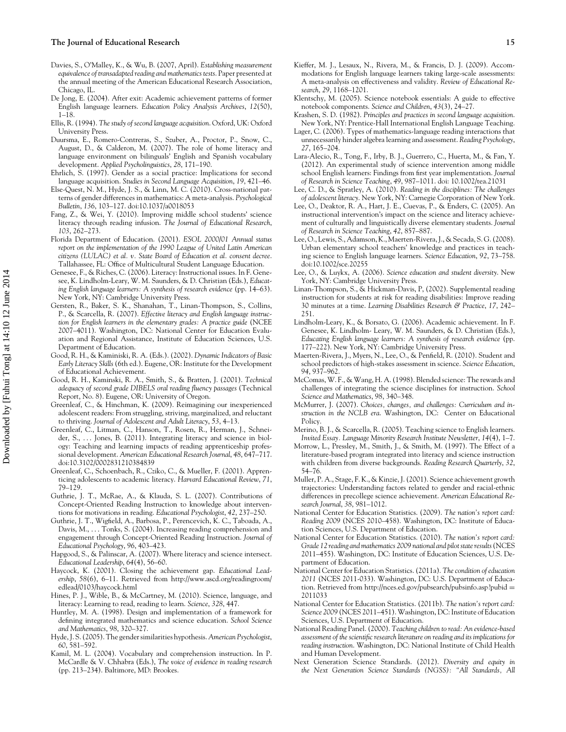- Davies, S., O'Malley, K., & Wu, B. (2007, April). *Establishing measurement equivalence of transadapted reading and mathematics tests*. Paper presented at the annual meeting of the American Educational Research Association, Chicago, IL.
- De Jong, E. (2004). After exit: Academic achievement patterns of former English language learners. *Education Policy Analysis Archives*, *12*(50), 1–18.
- Ellis, R. (1994). *The study of second language acquisition*. Oxford, UK: Oxford University Press.
- Duursma, E., Romero-Contreras, S., Szuber, A., Proctor, P., Snow, C., August, D., & Calderon, M. (2007). The role of home literacy and language environment on bilinguals' English and Spanish vocabulary development. *Applied Psycholinguistics*, *28*, 171–190.
- Ehrlich, S. (1997). Gender as a social practice: Implications for second language acquisition. *Studies in Second Language Acquisition*, *19*, 421–46.
- Else-Quest, N. M., Hyde, J. S., & Linn, M. C. (2010). Cross-national patterns of gender differences in mathematics: A meta-analysis. *Psychological Bulletin*, *136*, 103–127. doi:10.1037/a0018053
- Fang, Z., & Wei, Y. (2010). Improving middle school students' science literacy through reading infusion. *The Journal of Educational Research*, *103*, 262–273.
- Florida Department of Education. (2001). *ESOL 2000/01 Annual status report on the implementation of the 1990 League of United Latin American citizens (LULAC) et al. v. State Board of Education et al. consent decree*. Tallahassee, FL: Office of Multicultural Student Language Education.
- Genesee, F., & Riches, C. (2006). Literacy: Instructional issues. In F. Genesee, K. Lindholm-Leary, W. M. Saunders, & D. Christian (Eds.), *Educating English language learners: A synthesis of research evidence* (pp. 14–63). New York, NY: Cambridge University Press.
- Gersten, R., Baker, S. K., Shanahan, T., Linan-Thompson, S., Collins, P., & Scarcella, R. (2007). *Effective literacy and English language instruction for English learners in the elementary grades: A practice guide* (NCEE 2007–4011). Washington, DC: National Center for Education Evaluation and Regional Assistance, Institute of Education Sciences, U.S. Department of Education.
- Good, R. H., & Kaminiski, R. A. (Eds.). (2002). *Dynamic Indicators of Basic Early Literacy Skills* (6th ed.). Eugene, OR: Institute for the Development of Educational Achievement.
- Good, R. H., Kaminski, R. A., Smith, S., & Bratten, J. (2001). *Technical adequacy of second grade DIBELS oral reading fluency passages* (Technical Report, No. 8). Eugene, OR: University of Oregon.
- Greenleaf, C., & Hinchman, K. (2009). Reimagining our inexperienced adolescent readers: From struggling, striving, marginalized, and reluctant to thriving. *Journal of Adolescent and Adult Literacy*, *53*, 4–13.
- Greenleaf, C., Litman, C., Hanson, T., Rosen, R., Herman, J., Schneider, S., ... Jones, B. (2011). Integrating literacy and science in biology: Teaching and learning impacts of reading apprenticeship professional development. *American Educational Research Journal*, *48*, 647–717. doi:10.3102/0002831210384839
- Greenleaf, C., Schoenbach, R., Cziko, C., & Mueller, F. (2001). Apprenticing adolescents to academic literacy. *Harvard Educational Review*, *71*, 79–129.
- Guthrie, J. T., McRae, A., & Klauda, S. L. (2007). Contributions of Concept-Oriented Reading Instruction to knowledge about interventions for motivations in reading. *Educational Psychologist*, *42*, 237–250.
- Guthrie, J. T., Wigfield, A., Barbosa, P., Perencevich, K. C., Taboada, A., Davis, M., ... Tonks, S. (2004). Increasing reading comprehension and engagement through Concept-Oriented Reading Instruction. *Journal of Educational Psychology*, *96*, 403–423.
- Hapgood, S., & Palinscar, A. (2007). Where literacy and science intersect. *Educational Leadership*, *64*(4), 56–60.
- Haycock, K. (2001). Closing the achievement gap. *Educational Leadership*, *58*(6), 6–11. Retrieved from http://www.ascd.org/readingroom/ edlead/0103/haycock.html
- Hines, P. J., Wible, B., & McCartney, M. (2010). Science, language, and literacy: Learning to read, reading to learn. *Science*, *328*, 447.
- Huntley, M. A. (1998). Design and implementation of a framework for defining integrated mathematics and science education. *School Science and Mathematics*, *98*, 320–327.
- Hyde, J. S. (2005). The gender similarities hypothesis. *American Psychologist*, *60*, 581–592.
- Kamil, M. L. (2004). Vocabulary and comprehension instruction. In P. McCardle & V. Chhabra (Eds.), *The voice of evidence in reading research* (pp. 213–234). Baltimore, MD: Brookes.
- Kieffer, M. J., Lesaux, N., Rivera, M., & Francis, D. J. (2009). Accommodations for English language learners taking large-scale assessments: A meta-analysis on effectiveness and validity. *Review of Educational Research*, *29*, 1168–1201.
- Klentschy, M. (2005). Science notebook essentials: A guide to effective notebook components. *Science and Children*, *43*(3), 24–27.
- Krashen, S. D. (1982). *Principles and practices in second language acquisition*. New York, NY: Prentice-Hall International English Language Teaching.
- Lager, C. (2006). Types of mathematics-language reading interactions that unnecessarily hinder algebra learning and assessment. *Reading Psychology*, *27*, 165–204.
- Lara-Alecio, R., Tong, F., Irby, B. J., Guerrero, C., Huerta, M., & Fan, Y. (2012). An experimental study of science intervention among middle school English learners: Findings from first year implementation. *Journal of Research in Science Teaching*, *49*, 987–1011. doi: 10.1002/tea.21031
- Lee, C. D., & Spratley, A. (2010). *Reading in the disciplines: The challenges of adolescent literacy*. New York, NY: Carnegie Corporation of New York.
- Lee, O., Deaktor, R. A., Hart, J. E., Cuevas, P., & Enders, C. (2005). An instructional intervention's impact on the science and literacy achievement of culturally and linguistically diverse elementary students. *Journal of Research in Science Teaching*, *42*, 857–887.
- Lee, O., Lewis, S., Adamson, K., Maerten-Rivera, J., & Secada, S. G. (2008). Urban elementary school teachers' knowledge and practices in teaching science to English language learners. *Science Education*, *92*, 73–758. doi:10.1002/sce.20255
- Lee, O., & Luykx, A. (2006). *Science education and student diversity*. New York, NY: Cambridge University Press.
- Linan-Thompson, S., & Hickman-Davis, P, (2002). Supplemental reading instruction for students at risk for reading disabilities: Improve reading 30 minutes at a time. *Learning Disabilities Research & Practice*, *17*, 242– 251.
- Lindholm-Leary, K., & Borsato, G. (2006). Academic achievement. In F. Genesee, K. Lindholm- Leary, W. M. Saunders, & D. Christian (Eds.), *Educating English language learners: A synthesis of research evidence* (pp. 177–222). New York, NY: Cambridge University Press.
- Maerten-Rivera, J., Myers, N., Lee, O., & Penfield, R. (2010). Student and school predictors of high-stakes assessment in science. *Science Education*, *94*, 937–962.
- McComas, W. F., & Wang, H. A. (1998). Blended science: The rewards and challenges of integrating the science disciplines for instruction. *School Science and Mathematics*, *98*, 340–348.
- McMurrer, J. (2007). *Choices, changes, and challenges: Curriculum and instruction in the NCLB era*. Washington, DC: Center on Educational Policy.
- Merino, B. J., & Scarcella, R. (2005). Teaching science to English learners. *Invited Essay. Language Minority Research Institute Newsletter*, *14*(4), 1–7.
- Morrow, L., Pressley, M., Smith, J., & Smith, M. (1997). The Effect of a literature-based program integrated into literacy and science instruction with children from diverse backgrounds. *Reading Research Quarterly*, *32*, 54–76.
- Muller, P. A., Stage, F. K., & Kinzie, J. (2001). Science achievement growth trajectories: Understanding factors related to gender and racial-ethnic differences in precollege science achievement. *American Educational Research Journal*, *38*, 981–1012.
- National Center for Education Statistics. (2009). *The nation's report card: Reading 2009* (NCES 2010–458). Washington, DC: Institute of Education Sciences, U.S. Department of Education.
- National Center for Education Statistics. (2010). *The nation's report card: Grade 12 reading and mathematics 2009 national and pilot state results*(NCES 2011–455). Washington, DC: Institute of Education Sciences, U.S. Department of Education.
- National Center for Education Statistics. (2011a). *The condition of education 2011* (NCES 2011-033). Washington, DC: U.S. Department of Education. Retrieved from http://nces.ed.gov/pubsearch/pubsinfo.asp?pubid = 2011033
- National Center for Education Statistics. (2011b). *The nation's report card: Science 2009* (NCES 2011–451).Washington, DC: Institute of Education Sciences, U.S. Department of Education.
- National Reading Panel. (2000). *Teaching children to read: An evidence-based assessment of the scientific research literature on reading and its implications for reading instruction*. Washington, DC: National Institute of Child Health and Human Development.
- Next Generation Science Standards. (2012). *Diversity and equity in the Next Generation Science Standards (NGSS): "All Standards, All*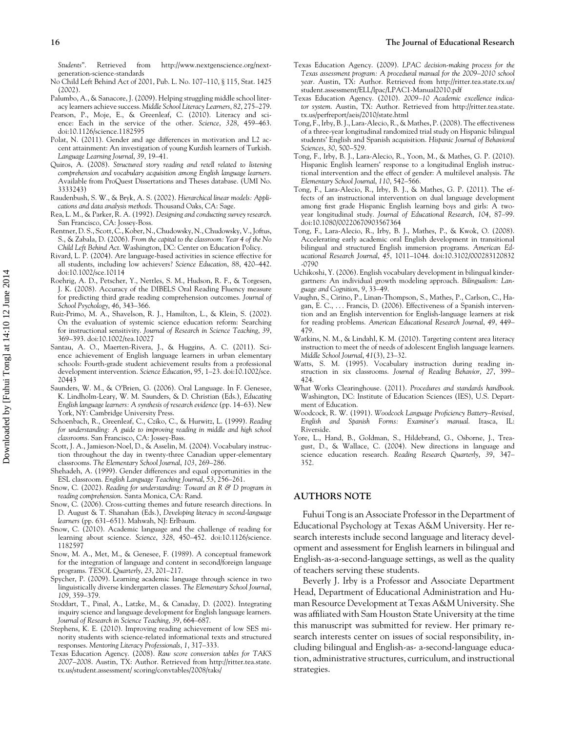*Students*". Retrieved from http://www.nextgenscience.org/nextgeneration-science-standards

- No Child Left Behind Act of 2001, Pub. L. No. 107–110, § 115, Stat. 1425 (2002).
- Palumbo, A., & Sanacore, J. (2009). Helping struggling middle school literacy learners achieve success. *Middle School Literacy Learners*, *82*, 275–279.
- Pearson, P., Moje, E., & Greenleaf, C. (2010). Literacy and science: Each in the service of the other. *Science*, *328*, 459–463. doi:10.1126/science.1182595
- Polat, N. (2011). Gender and age differences in motivation and L2 accent attainment: An investigation of young Kurdish learners of Turkish. *Language Learning Journal*, *39*, 19–41.
- Quiros, A. (2008). *Structured story reading and retell related to listening comprehension and vocabulary acquisition among English language learners*. Available from ProQuest Dissertations and Theses database. (UMI No. 3333243)
- Raudenbush, S. W., & Bryk, A. S. (2002). *Hierarchical linear models: Applications and data analysis methods*. Thousand Oaks, CA: Sage.
- Rea, L. M., & Parker, R. A. (1992). *Designing and conducting survey research*. San Francisco, CA: Jossey-Boss.
- Rentner, D. S., Scott, C., Kober, N., Chudowsky, N., Chudowsky, V., Joftus, S., & Zabala, D. (2006). *From the capital to the classroom: Year 4 of the No Child Left Behind Act*. Washington, DC: Center on Education Policy.
- Rivard, L. P. (2004). Are language-based activities in science effective for all students, including low achievers? *Science Education*, *88*, 420–442. doi:10.1002/sce.10114
- Roehrig, A. D., Petscher, Y., Nettles, S. M., Hudson, R. F., & Torgesen, J. K. (2008). Accuracy of the DIBELS Oral Reading Fluency measure for predicting third grade reading comprehension outcomes. *Journal of School Psychology*, *46*, 343–366.
- Ruiz-Primo, M. A., Shavelson, R. J., Hamilton, L., & Klein, S. (2002). On the evaluation of systemic science education reform: Searching for instructional sensitivity. *Journal of Research in Science Teaching*, *39*, 369–393. doi:10.1002/tea.10027
- Santau, A. O., Maerten-Rivera, J., & Huggins, A. C. (2011). Science achievement of English language learners in urban elementary schools: Fourth-grade student achievement results from a professional development intervention. *Science Education*, *95*, 1–23. doi:10.1002/sce. 20443
- Saunders, W. M., & O'Brien, G. (2006). Oral Language. In F. Genesee, K. Lindholm-Leary, W. M. Saunders, & D. Christian (Eds.), *Educating English language learners: A synthesis of research evidence* (pp. 14–63). New York, NY: Cambridge University Press.
- Schoenbach, R., Greenleaf, C., Cziko, C., & Hurwitz, L. (1999). *Reading for understanding: A guide to improving reading in middle and high school classrooms*. San Francisco, CA: Jossey-Bass.
- Scott, J. A., Jamieson-Noel, D., & Asselin, M. (2004). Vocabulary instruction throughout the day in twenty-three Canadian upper-elementary classrooms. *The Elementary School Journal*, *103*, 269–286.
- Shehadeh, A. (1999). Gender differences and equal opportunities in the ESL classroom. *English Language Teaching Journal*, *53*, 256–261.
- Snow, C. (2002). *Reading for understanding: Toward an R & D program in reading comprehension*. Santa Monica, CA: Rand.
- Snow, C. (2006). Cross-cutting themes and future research directions. In D. August & T. Shanahan (Eds.), *Developing literacy in second-language learners* (pp. 631–651). Mahwah, NJ: Erlbaum.
- Snow, C. (2010). Academic language and the challenge of reading for learning about science. *Science*, *328*, 450–452. doi:10.1126/science. 1182597
- Snow, M. A., Met, M., & Genesee, F. (1989). A conceptual framework for the integration of language and content in second/foreign language programs. *TESOL Quarterly*, *23*, 201–217.
- Spycher, P. (2009). Learning academic language through science in two linguistically diverse kindergarten classes. *The Elementary School Journal*, *109*, 359–379.
- Stoddart, T., Pinal, A., Latzke, M., & Canaday, D. (2002). Integrating inquiry science and language development for English language learners. *Journal of Research in Science Teaching*, *39*, 664–687.
- Stephens, K. E. (2010). Improving reading achievement of low SES minority students with science-related informational texts and structured responses. *Mentoring Literacy Professionals*, *1*, 317–333.
- Texas Education Agency. (2008). *Raw score conversion tables for TAKS 2007–2008*. Austin, TX: Author. Retrieved from http://ritter.tea.state. tx.us/student.assessment/ scoring/convtables/2008/taks/
- Texas Education Agency. (2009). *LPAC decision-making process for the Texas assessment program: A procedural manual for the 2009–2010 school year*. Austin, TX: Author. Retrieved from http://ritter.tea.state.tx.us/ student.assessment/ELL/lpac/LPAC1-Manual2010.pdf
- Texas Education Agency. (2010). *2009–10 Academic excellence indicator system*. Austin, TX: Author. Retrieved from http://ritter.tea.state. tx.us/perfreport/aeis/2010/state.html
- Tong, F., Irby, B. J., Lara-Alecio, R., & Mathes, P. (2008). The effectiveness of a three-year longitudinal randomized trial study on Hispanic bilingual students' English and Spanish acquisition. *Hispanic Journal of Behavioral Sciences*, *30*, 500–529.
- Tong, F., Irby, B. J., Lara-Alecio, R., Yoon, M., & Mathes, G. P. (2010). Hispanic English learners' response to a longitudinal English instructional intervention and the effect of gender: A multilevel analysis. *The Elementary School Journal*, *110*, 542–566.
- Tong, F., Lara-Alecio, R., Irby, B. J., & Mathes, G. P. (2011). The effects of an instructional intervention on dual language development among first grade Hispanic English learning boys and girls: A twoyear longitudinal study. *Journal of Educational Research*, *104*, 87–99. doi:10.1080/00220670903567364
- Tong, F., Lara-Alecio, R., Irby, B. J., Mathes, P., & Kwok, O. (2008). Accelerating early academic oral English development in transitional bilingual and structured English immersion programs. *American Educational Research Journal*, *45*, 1011–1044. doi:10.3102/000283120832 -0790
- Uchikoshi, Y. (2006). English vocabulary development in bilingual kindergartners: An individual growth modeling approach. *Bilingualism: Language and Cognition*, *9*, 33–49.
- Vaughn, S., Cirino, P., Linan-Thompson, S., Mathes, P., Carlson, C., Hagan, E. C., ... Francis, D. (2006). Effectiveness of a Spanish intervention and an English intervention for English-language learners at risk for reading problems. *American Educational Research Journal*, *49*, 449– 479.
- Watkins, N. M., & Lindahl, K. M. (2010). Targeting content area literacy instruction to meet the of needs of adolescent English language learners. *Middle School Journal*, *41*(3), 23–32.
- Watts, S. M. (1995). Vocabulary instruction during reading instruction in six classrooms. *Journal of Reading Behavior*, *27*, 399– 424.
- What Works Clearinghouse. (2011). *Procedures and standards handbook*. Washington, DC: Institute of Education Sciences (IES), U.S. Department of Education.
- Woodcock, R. W. (1991). *Woodcock Language Proficiency Battery–Revised, English and Spanish Forms: Examiner's manual*. Itasca, IL: Riverside.
- Yore, L., Hand, B., Goldman, S., Hildebrand, G., Osborne, J., Treagust, D., & Wallace, C. (2004). New directions in language and science education research. *Reading Research Quarterly*, *39*, 347– 352.

# **AUTHORS NOTE**

Fuhui Tong is an Associate Professor in the Department of Educational Psychology at Texas A&M University. Her research interests include second language and literacy development and assessment for English learners in bilingual and English-as-a-second-language settings, as well as the quality of teachers serving these students.

Beverly J. Irby is a Professor and Associate Department Head, Department of Educational Administration and Human Resource Development at Texas A&M University. She was affiliated with Sam Houston State University at the time this manuscript was submitted for review. Her primary research interests center on issues of social responsibility, including bilingual and English-as- a-second-language education, administrative structures, curriculum, and instructional strategies.